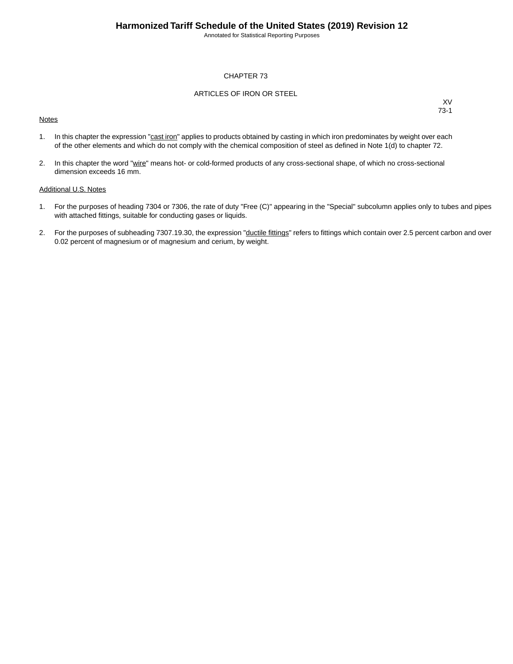Annotated for Statistical Reporting Purposes

#### CHAPTER 73

#### ARTICLES OF IRON OR STEEL

#### **Notes**

XV 73-1

- 1. In this chapter the expression "cast iron" applies to products obtained by casting in which iron predominates by weight over each of the other elements and which do not comply with the chemical composition of steel as defined in Note 1(d) to chapter 72.
- 2. In this chapter the word "wire" means hot- or cold-formed products of any cross-sectional shape, of which no cross-sectional dimension exceeds 16 mm.

#### Additional U.S. Notes

- 1. For the purposes of heading 7304 or 7306, the rate of duty "Free (C)" appearing in the "Special" subcolumn applies only to tubes and pipes with attached fittings, suitable for conducting gases or liquids.
- 2. For the purposes of subheading 7307.19.30, the expression "ductile fittings" refers to fittings which contain over 2.5 percent carbon and over 0.02 percent of magnesium or of magnesium and cerium, by weight.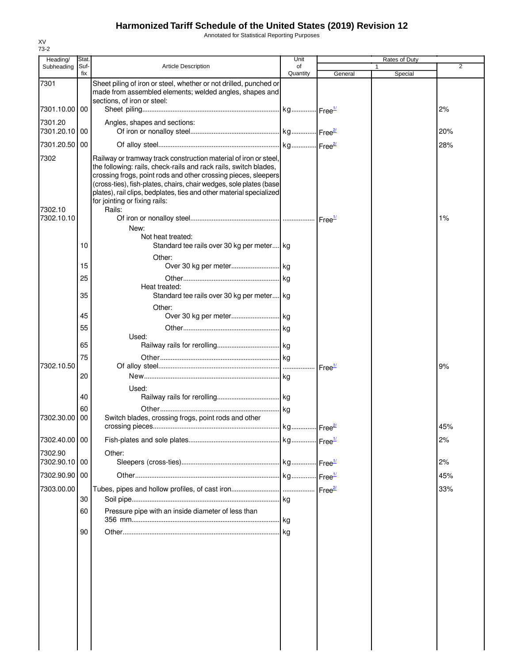Annotated for Statistical Reporting Purposes

| Heading/                 | Stat.       |                                                                                                                                                                                                                                                                                                                                                                                                | Unit           |                    | Rates of Duty |     |
|--------------------------|-------------|------------------------------------------------------------------------------------------------------------------------------------------------------------------------------------------------------------------------------------------------------------------------------------------------------------------------------------------------------------------------------------------------|----------------|--------------------|---------------|-----|
| Subheading               | Suf-<br>fix | <b>Article Description</b>                                                                                                                                                                                                                                                                                                                                                                     | of<br>Quantity | General            | 1<br>Special  | 2   |
| 7301                     |             | Sheet piling of iron or steel, whether or not drilled, punched or<br>made from assembled elements; welded angles, shapes and<br>sections, of iron or steel:                                                                                                                                                                                                                                    |                |                    |               |     |
| 7301.10.00 00            |             |                                                                                                                                                                                                                                                                                                                                                                                                |                |                    |               | 2%  |
| 7301.20<br>7301.20.10 00 |             | Angles, shapes and sections:                                                                                                                                                                                                                                                                                                                                                                   |                |                    |               | 20% |
| 7301.20.50               | 00          |                                                                                                                                                                                                                                                                                                                                                                                                |                |                    |               | 28% |
| 7302<br>7302.10          |             | Railway or tramway track construction material of iron or steel,<br>the following: rails, check-rails and rack rails, switch blades,<br>crossing frogs, point rods and other crossing pieces, sleepers<br>(cross-ties), fish-plates, chairs, chair wedges, sole plates (base<br>plates), rail clips, bedplates, ties and other material specialized<br>for jointing or fixing rails:<br>Rails: |                |                    |               |     |
| 7302.10.10               |             | New:                                                                                                                                                                                                                                                                                                                                                                                           |                |                    |               | 1%  |
|                          | 10          | Not heat treated:<br>Standard tee rails over 30 kg per meter kg                                                                                                                                                                                                                                                                                                                                |                |                    |               |     |
|                          | 15          | Other:                                                                                                                                                                                                                                                                                                                                                                                         |                |                    |               |     |
|                          | 25          |                                                                                                                                                                                                                                                                                                                                                                                                |                |                    |               |     |
|                          | 35          | Heat treated:<br>Standard tee rails over 30 kg per meter kg                                                                                                                                                                                                                                                                                                                                    |                |                    |               |     |
|                          | 45          | Other:                                                                                                                                                                                                                                                                                                                                                                                         |                |                    |               |     |
|                          | 55          |                                                                                                                                                                                                                                                                                                                                                                                                |                |                    |               |     |
|                          |             | Used:                                                                                                                                                                                                                                                                                                                                                                                          |                |                    |               |     |
|                          | 65<br>75    |                                                                                                                                                                                                                                                                                                                                                                                                |                |                    |               |     |
| 7302.10.50               |             |                                                                                                                                                                                                                                                                                                                                                                                                |                | Free <sup>1/</sup> |               | 9%  |
|                          | 20          |                                                                                                                                                                                                                                                                                                                                                                                                |                |                    |               |     |
|                          | 40          | Used:                                                                                                                                                                                                                                                                                                                                                                                          |                |                    |               |     |
| 7302.30.00               | 60<br>00    | Switch blades, crossing frogs, point rods and other                                                                                                                                                                                                                                                                                                                                            |                |                    |               | 45% |
| 7302.40.00 00            |             |                                                                                                                                                                                                                                                                                                                                                                                                |                |                    |               | 2%  |
| 7302.90                  |             | Other:                                                                                                                                                                                                                                                                                                                                                                                         |                |                    |               |     |
| 7302.90.10 00            |             |                                                                                                                                                                                                                                                                                                                                                                                                |                |                    |               | 2%  |
| 7302.90.90 00            |             |                                                                                                                                                                                                                                                                                                                                                                                                |                |                    |               | 45% |
| 7303.00.00               |             |                                                                                                                                                                                                                                                                                                                                                                                                |                |                    |               | 33% |
|                          | 30          |                                                                                                                                                                                                                                                                                                                                                                                                |                |                    |               |     |
|                          | 60          | Pressure pipe with an inside diameter of less than                                                                                                                                                                                                                                                                                                                                             |                |                    |               |     |
|                          | 90          |                                                                                                                                                                                                                                                                                                                                                                                                | kg             |                    |               |     |
|                          |             |                                                                                                                                                                                                                                                                                                                                                                                                |                |                    |               |     |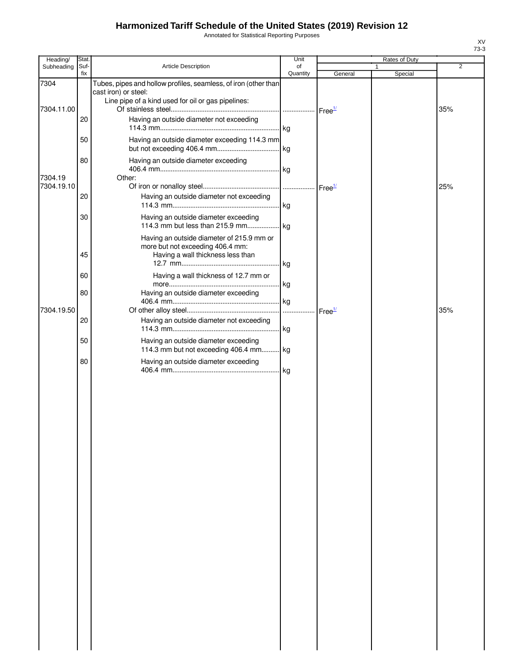Annotated for Statistical Reporting Purposes

| Heading/           | Stat.       |                                                                                                                                               | Unit           |                                                       | Rates of Duty |     |
|--------------------|-------------|-----------------------------------------------------------------------------------------------------------------------------------------------|----------------|-------------------------------------------------------|---------------|-----|
| Subheading         | Suf-<br>fix | Article Description                                                                                                                           | of<br>Quantity | General                                               | 1<br>Special  | 2   |
| 7304<br>7304.11.00 |             | Tubes, pipes and hollow profiles, seamless, of iron (other than<br>cast iron) or steel:<br>Line pipe of a kind used for oil or gas pipelines: |                |                                                       |               | 35% |
|                    | 20          | Having an outside diameter not exceeding                                                                                                      |                |                                                       |               |     |
|                    | 50          | Having an outside diameter exceeding 114.3 mm                                                                                                 |                |                                                       |               |     |
| 7304.19            | 80          | Having an outside diameter exceeding<br>Other:                                                                                                |                |                                                       |               |     |
| 7304.19.10         | 20          | Having an outside diameter not exceeding                                                                                                      |                |                                                       |               | 25% |
|                    | 30          | Having an outside diameter exceeding                                                                                                          |                |                                                       |               |     |
|                    | 45          | Having an outside diameter of 215.9 mm or<br>more but not exceeding 406.4 mm:<br>Having a wall thickness less than                            |                |                                                       |               |     |
|                    | 60          | Having a wall thickness of 12.7 mm or                                                                                                         |                |                                                       |               |     |
|                    | 80          | Having an outside diameter exceeding                                                                                                          |                |                                                       |               |     |
| 7304.19.50         | 20          | Having an outside diameter not exceeding                                                                                                      |                | $\mathsf{Free}^{\underline{\mathsf{1\!}{\mathsf{K}}}$ |               | 35% |
|                    | 50          | Having an outside diameter exceeding<br>114.3 mm but not exceeding 406.4 mm kg                                                                |                |                                                       |               |     |
|                    | 80          | Having an outside diameter exceeding                                                                                                          |                |                                                       |               |     |
|                    |             |                                                                                                                                               |                |                                                       |               |     |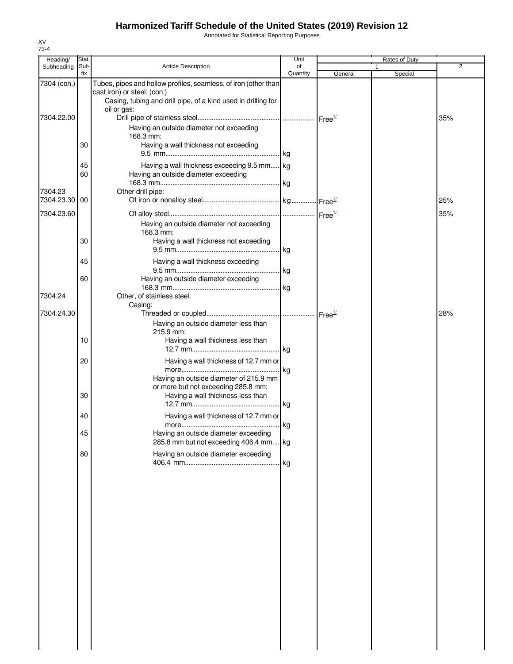Annotated for Statistical Reporting Purposes

| Heading/      | Stat.       |                                                                                                                                                                                | Unit           |         | Rates of Duty |                |
|---------------|-------------|--------------------------------------------------------------------------------------------------------------------------------------------------------------------------------|----------------|---------|---------------|----------------|
| Subheading    | Suf-<br>fix | <b>Article Description</b>                                                                                                                                                     | of<br>Quantity | General | 1<br>Special  | $\overline{2}$ |
| 7304 (con.)   |             | Tubes, pipes and hollow profiles, seamless, of iron (other than<br>cast iron) or steel: (con.)<br>Casing, tubing and drill pipe, of a kind used in drilling for<br>oil or gas: |                |         |               |                |
| 7304.22.00    | 30          | Having an outside diameter not exceeding<br>168.3 mm:<br>Having a wall thickness not exceeding                                                                                 |                |         |               | 35%            |
|               | 45          | Having a wall thickness exceeding 9.5 mm kg                                                                                                                                    |                |         |               |                |
| 7304.23       | 60          | Having an outside diameter exceeding<br>Other drill pipe:                                                                                                                      |                |         |               |                |
| 7304.23.30 00 |             |                                                                                                                                                                                |                |         |               | 25%            |
| 7304.23.60    | 30          | Having an outside diameter not exceeding<br>168.3 mm:<br>Having a wall thickness not exceeding                                                                                 |                |         |               | 35%            |
|               |             |                                                                                                                                                                                |                |         |               |                |
|               | 45          | Having a wall thickness exceeding                                                                                                                                              |                |         |               |                |
| 7304.24       | 60          | Having an outside diameter exceeding<br>Other, of stainless steel:                                                                                                             |                |         |               |                |
| 7304.24.30    |             | Casing:<br>Having an outside diameter less than                                                                                                                                |                |         |               | 28%            |
|               | 10          | 215.9 mm:<br>Having a wall thickness less than                                                                                                                                 |                |         |               |                |
|               | 20          | Having a wall thickness of 12.7 mm or                                                                                                                                          | . kg           |         |               |                |
|               | 30          | Having an outside diameter of 215.9 mm<br>or more but not exceeding 285.8 mm:<br>Having a wall thickness less than                                                             |                |         |               |                |
|               | 40          | Having a wall thickness of 12.7 mm or                                                                                                                                          |                |         |               |                |
|               | 45<br>80    | Having an outside diameter exceeding<br>285.8 mm but not exceeding 406.4 mm kg<br>Having an outside diameter exceeding                                                         |                |         |               |                |
|               |             |                                                                                                                                                                                |                |         |               |                |
|               |             |                                                                                                                                                                                |                |         |               |                |
|               |             |                                                                                                                                                                                |                |         |               |                |
|               |             |                                                                                                                                                                                |                |         |               |                |
|               |             |                                                                                                                                                                                |                |         |               |                |
|               |             |                                                                                                                                                                                |                |         |               |                |
|               |             |                                                                                                                                                                                |                |         |               |                |
|               |             |                                                                                                                                                                                |                |         |               |                |
|               |             |                                                                                                                                                                                |                |         |               |                |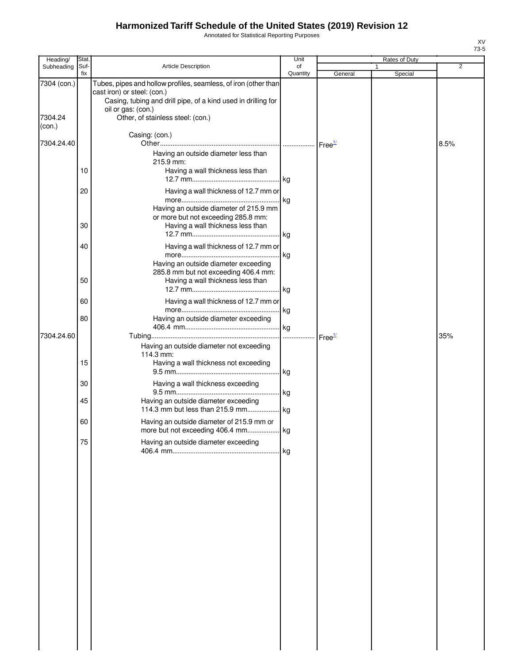Annotated for Statistical Reporting Purposes

| Heading/          | Stat.       |                                                                                                                                                                                       | Unit           |                               | Rates of Duty |      |
|-------------------|-------------|---------------------------------------------------------------------------------------------------------------------------------------------------------------------------------------|----------------|-------------------------------|---------------|------|
| Subheading        | Suf-<br>fix | <b>Article Description</b>                                                                                                                                                            | of<br>Quantity | General                       | 1<br>Special  | 2    |
| 7304 (con.)       |             | Tubes, pipes and hollow profiles, seamless, of iron (other than<br>cast iron) or steel: (con.)<br>Casing, tubing and drill pipe, of a kind used in drilling for<br>oil or gas: (con.) |                |                               |               |      |
| 7304.24<br>(con.) |             | Other, of stainless steel: (con.)                                                                                                                                                     |                |                               |               |      |
| 7304.24.40        |             | Casing: (con.)                                                                                                                                                                        |                | Free <sup>1/</sup>            |               | 8.5% |
|                   | 10          | Having an outside diameter less than<br>215.9 mm:                                                                                                                                     |                |                               |               |      |
|                   |             | Having a wall thickness less than                                                                                                                                                     |                |                               |               |      |
|                   | 20          | Having a wall thickness of 12.7 mm or<br>Having an outside diameter of 215.9 mm                                                                                                       |                |                               |               |      |
|                   | 30          | or more but not exceeding 285.8 mm:<br>Having a wall thickness less than                                                                                                              |                |                               |               |      |
|                   | 40          | Having a wall thickness of 12.7 mm or                                                                                                                                                 |                |                               |               |      |
|                   | 50          | Having an outside diameter exceeding<br>285.8 mm but not exceeding 406.4 mm:<br>Having a wall thickness less than                                                                     | kg             |                               |               |      |
|                   | 60          | Having a wall thickness of 12.7 mm or                                                                                                                                                 |                |                               |               |      |
|                   | 80          | Having an outside diameter exceeding                                                                                                                                                  | kg             |                               |               |      |
| 7304.24.60        |             |                                                                                                                                                                                       | .              | $\textsf{Free}^{\frac{1}{2}}$ |               | 35%  |
|                   |             | Having an outside diameter not exceeding<br>114.3 mm:                                                                                                                                 |                |                               |               |      |
|                   | 15          | Having a wall thickness not exceeding                                                                                                                                                 |                |                               |               |      |
|                   | 30<br>45    | Having a wall thickness exceeding<br>Having an outside diameter exceeding                                                                                                             | kg             |                               |               |      |
|                   |             |                                                                                                                                                                                       |                |                               |               |      |
|                   | 60          | Having an outside diameter of 215.9 mm or                                                                                                                                             |                |                               |               |      |
|                   | 75          | Having an outside diameter exceeding                                                                                                                                                  |                |                               |               |      |
|                   |             |                                                                                                                                                                                       |                |                               |               |      |
|                   |             |                                                                                                                                                                                       |                |                               |               |      |
|                   |             |                                                                                                                                                                                       |                |                               |               |      |
|                   |             |                                                                                                                                                                                       |                |                               |               |      |
|                   |             |                                                                                                                                                                                       |                |                               |               |      |
|                   |             |                                                                                                                                                                                       |                |                               |               |      |
|                   |             |                                                                                                                                                                                       |                |                               |               |      |
|                   |             |                                                                                                                                                                                       |                |                               |               |      |
|                   |             |                                                                                                                                                                                       |                |                               |               |      |
|                   |             |                                                                                                                                                                                       |                |                               |               |      |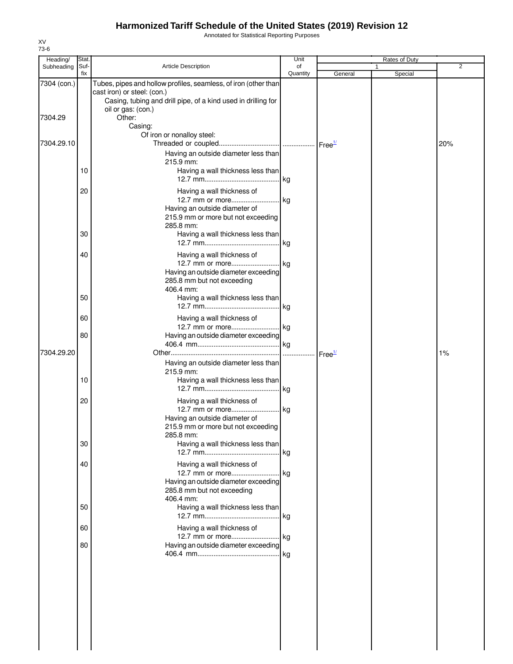Annotated for Statistical Reporting Purposes

| Heading/        | Stat.    |                                                                                                                                                                                       | Unit           |                    | Rates of Duty |                |
|-----------------|----------|---------------------------------------------------------------------------------------------------------------------------------------------------------------------------------------|----------------|--------------------|---------------|----------------|
| Subheading Suf- | fix      | <b>Article Description</b>                                                                                                                                                            | of<br>Quantity | General            | 1<br>Special  | $\overline{2}$ |
| 7304 (con.)     |          | Tubes, pipes and hollow profiles, seamless, of iron (other than<br>cast iron) or steel: (con.)<br>Casing, tubing and drill pipe, of a kind used in drilling for<br>oil or gas: (con.) |                |                    |               |                |
| 7304.29         |          | Other:<br>Casing:<br>Of iron or nonalloy steel:                                                                                                                                       |                |                    |               |                |
| 7304.29.10      |          | Having an outside diameter less than                                                                                                                                                  |                |                    |               | 20%            |
|                 | 10       | 215.9 mm:<br>Having a wall thickness less than                                                                                                                                        |                |                    |               |                |
|                 | 20       | Having a wall thickness of<br>12.7 mm or more kg<br>Having an outside diameter of                                                                                                     |                |                    |               |                |
|                 | 30       | 215.9 mm or more but not exceeding<br>285.8 mm:<br>Having a wall thickness less than                                                                                                  |                |                    |               |                |
|                 | 40       | Having a wall thickness of                                                                                                                                                            |                |                    |               |                |
|                 |          | 12.7 mm or more kg<br>Having an outside diameter exceeding<br>285.8 mm but not exceeding<br>406.4 mm:                                                                                 |                |                    |               |                |
|                 | 50       | Having a wall thickness less than                                                                                                                                                     |                |                    |               |                |
|                 | 60<br>80 | Having a wall thickness of<br>12.7 mm or more kg<br>Having an outside diameter exceeding                                                                                              |                |                    |               |                |
| 7304.29.20      |          |                                                                                                                                                                                       |                | Free <sup>1/</sup> |               | 1%             |
|                 | 10       | Having an outside diameter less than<br>215.9 mm:<br>Having a wall thickness less than                                                                                                |                |                    |               |                |
|                 | 20       | Having a wall thickness of<br>12.7 mm or more kg<br>Having an outside diameter of<br>215.9 mm or more but not exceeding                                                               |                |                    |               |                |
|                 | 30       | 285.8 mm:<br>Having a wall thickness less than                                                                                                                                        | kg             |                    |               |                |
|                 | 40       | Having a wall thickness of<br>12.7 mm or more kg<br>Having an outside diameter exceeding<br>285.8 mm but not exceeding<br>406.4 mm:                                                   |                |                    |               |                |
|                 | 50       | Having a wall thickness less than                                                                                                                                                     |                |                    |               |                |
|                 | 60       | Having a wall thickness of<br>12.7 mm or more kg                                                                                                                                      |                |                    |               |                |
|                 | 80       | Having an outside diameter exceeding                                                                                                                                                  |                |                    |               |                |
|                 |          |                                                                                                                                                                                       |                |                    |               |                |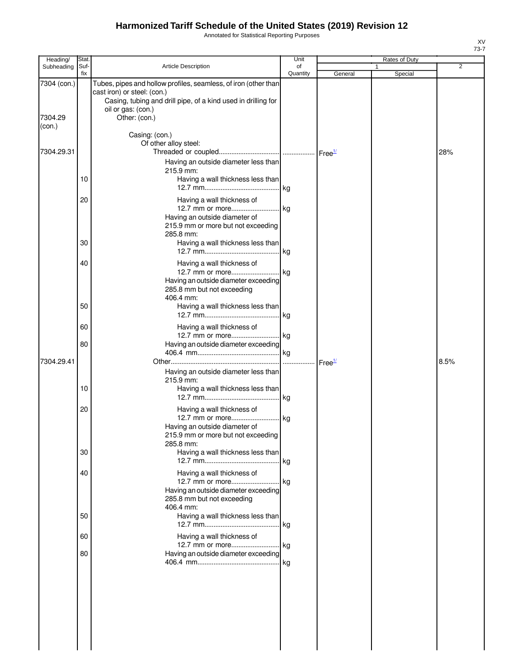Annotated for Statistical Reporting Purposes

| Heading/                         | Stat.       |                                                                                                                                                                                                        | Unit           |                        | Rates of Duty |      |
|----------------------------------|-------------|--------------------------------------------------------------------------------------------------------------------------------------------------------------------------------------------------------|----------------|------------------------|---------------|------|
| Subheading                       | Suf-<br>fix | Article Description                                                                                                                                                                                    | οf<br>Quantity | General                | 1<br>Special  | 2    |
| 7304 (con.)<br>7304.29<br>(con.) |             | Tubes, pipes and hollow profiles, seamless, of iron (other than<br>cast iron) or steel: (con.)<br>Casing, tubing and drill pipe, of a kind used in drilling for<br>oil or gas: (con.)<br>Other: (con.) |                |                        |               |      |
| 7304.29.31                       |             | Casing: (con.)<br>Of other alloy steel:                                                                                                                                                                |                |                        |               | 28%  |
|                                  | 10          | Having an outside diameter less than<br>215.9 mm:<br>Having a wall thickness less than                                                                                                                 |                |                        |               |      |
|                                  | 20          | Having a wall thickness of<br>Having an outside diameter of<br>215.9 mm or more but not exceeding<br>285.8 mm:                                                                                         |                |                        |               |      |
|                                  | 30          | Having a wall thickness less than                                                                                                                                                                      |                |                        |               |      |
|                                  | 40          | Having a wall thickness of<br>12.7 mm or more kg<br>Having an outside diameter exceeding<br>285.8 mm but not exceeding<br>406.4 mm:                                                                    |                |                        |               |      |
|                                  | 50          | Having a wall thickness less than                                                                                                                                                                      |                |                        |               |      |
|                                  | 60          | Having a wall thickness of                                                                                                                                                                             |                |                        |               |      |
| 7304.29.41                       | 80          | Having an outside diameter exceeding                                                                                                                                                                   |                |                        |               | 8.5% |
|                                  | 10          | Having an outside diameter less than<br>215.9 mm:<br>Having a wall thickness less than                                                                                                                 |                | $r$ Free <sup>1/</sup> |               |      |
|                                  | 20          | Having a wall thickness of<br>12.7 mm or more kg<br>Having an outside diameter of<br>215.9 mm or more but not exceeding<br>285.8 mm:                                                                   |                |                        |               |      |
|                                  | 30          | Having a wall thickness less than                                                                                                                                                                      |                |                        |               |      |
|                                  | 40          | Having a wall thickness of<br>Having an outside diameter exceeding<br>285.8 mm but not exceeding<br>406.4 mm:                                                                                          |                |                        |               |      |
|                                  | 50          | Having a wall thickness less than                                                                                                                                                                      |                |                        |               |      |
|                                  | 60<br>80    | Having a wall thickness of<br>12.7 mm or more kg<br>Having an outside diameter exceeding                                                                                                               |                |                        |               |      |
|                                  |             |                                                                                                                                                                                                        |                |                        |               |      |

XV 73-7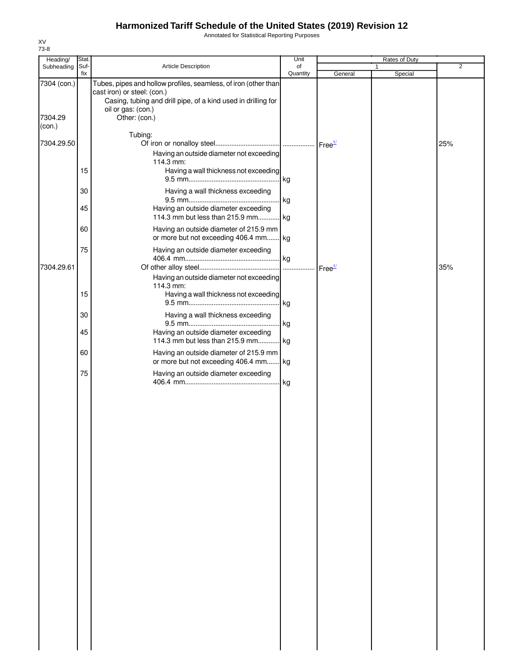Annotated for Statistical Reporting Purposes

| Heading/          | Stat.       |                                                                                                                                                                                       | Unit           |                               | Rates of Duty           |                |
|-------------------|-------------|---------------------------------------------------------------------------------------------------------------------------------------------------------------------------------------|----------------|-------------------------------|-------------------------|----------------|
| Subheading        | Suf-<br>fix | Article Description                                                                                                                                                                   | of<br>Quantity | General                       | $\mathbf{1}$<br>Special | $\overline{2}$ |
| 7304 (con.)       |             | Tubes, pipes and hollow profiles, seamless, of iron (other than<br>cast iron) or steel: (con.)<br>Casing, tubing and drill pipe, of a kind used in drilling for<br>oil or gas: (con.) |                |                               |                         |                |
| 7304.29<br>(con.) |             | Other: (con.)                                                                                                                                                                         |                |                               |                         |                |
| 7304.29.50        |             | Tubing:<br>Having an outside diameter not exceeding<br>114.3 mm:                                                                                                                      |                |                               |                         | 25%            |
|                   | 15          | Having a wall thickness not exceeding                                                                                                                                                 |                |                               |                         |                |
|                   | 30          | Having a wall thickness exceeding                                                                                                                                                     | kg             |                               |                         |                |
|                   | 45          | Having an outside diameter exceeding<br>114.3 mm but less than 215.9 mm kg                                                                                                            |                |                               |                         |                |
|                   | 60          | Having an outside diameter of 215.9 mm<br>or more but not exceeding 406.4 mm kg                                                                                                       |                |                               |                         |                |
| 7304.29.61        | 75          | Having an outside diameter exceeding                                                                                                                                                  |                | $\textsf{Free}^{\frac{1}{2}}$ |                         | 35%            |
|                   | 15          | Having an outside diameter not exceeding<br>114.3 mm:<br>Having a wall thickness not exceeding                                                                                        | kg             |                               |                         |                |
|                   | 30          | Having a wall thickness exceeding                                                                                                                                                     |                |                               |                         |                |
|                   | 45          | Having an outside diameter exceeding<br>114.3 mm but less than 215.9 mm kg                                                                                                            | kg             |                               |                         |                |
|                   | 60          | Having an outside diameter of 215.9 mm<br>or more but not exceeding 406.4 mm kg                                                                                                       |                |                               |                         |                |
|                   | 75          | Having an outside diameter exceeding                                                                                                                                                  |                |                               |                         |                |
|                   |             |                                                                                                                                                                                       | kg             |                               |                         |                |
|                   |             |                                                                                                                                                                                       |                |                               |                         |                |
|                   |             |                                                                                                                                                                                       |                |                               |                         |                |
|                   |             |                                                                                                                                                                                       |                |                               |                         |                |
|                   |             |                                                                                                                                                                                       |                |                               |                         |                |
|                   |             |                                                                                                                                                                                       |                |                               |                         |                |
|                   |             |                                                                                                                                                                                       |                |                               |                         |                |
|                   |             |                                                                                                                                                                                       |                |                               |                         |                |
|                   |             |                                                                                                                                                                                       |                |                               |                         |                |
|                   |             |                                                                                                                                                                                       |                |                               |                         |                |
|                   |             |                                                                                                                                                                                       |                |                               |                         |                |
|                   |             |                                                                                                                                                                                       |                |                               |                         |                |
|                   |             |                                                                                                                                                                                       |                |                               |                         |                |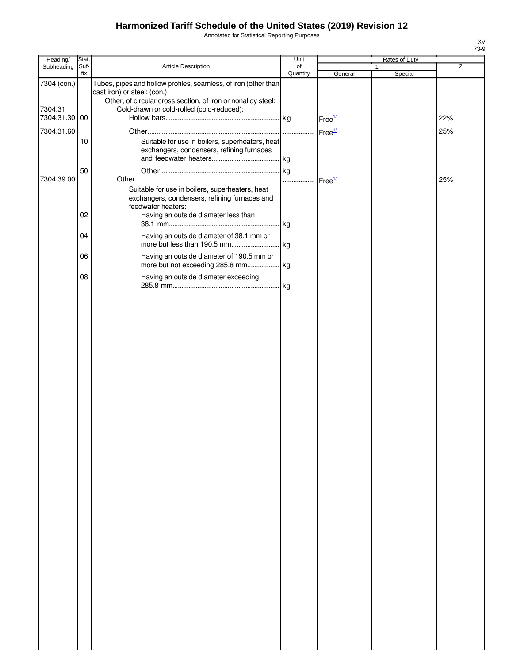Annotated for Statistical Reporting Purposes

| Heading/              | Stat.       |                                                                                                                                                                | Unit           |                    | Rates of Duty           |                |
|-----------------------|-------------|----------------------------------------------------------------------------------------------------------------------------------------------------------------|----------------|--------------------|-------------------------|----------------|
| Subheading            | Suf-<br>fix | Article Description                                                                                                                                            | of<br>Quantity | General            | $\mathbf{1}$<br>Special | $\overline{2}$ |
| 7304 (con.)           |             | Tubes, pipes and hollow profiles, seamless, of iron (other than<br>cast iron) or steel: (con.)<br>Other, of circular cross section, of iron or nonalloy steel: |                |                    |                         |                |
| 7304.31<br>7304.31.30 | 00          | Cold-drawn or cold-rolled (cold-reduced):                                                                                                                      |                |                    |                         | 22%            |
| 7304.31.60            |             |                                                                                                                                                                |                |                    |                         | 25%            |
|                       | 10          | Suitable for use in boilers, superheaters, heat<br>exchangers, condensers, refining furnaces                                                                   |                |                    |                         |                |
| 7304.39.00            | 50          |                                                                                                                                                                | .              | Free <sup>1/</sup> |                         | 25%            |
|                       |             | Suitable for use in boilers, superheaters, heat<br>exchangers, condensers, refining furnaces and<br>feedwater heaters:                                         |                |                    |                         |                |
|                       | 02<br>04    | Having an outside diameter less than<br>Having an outside diameter of 38.1 mm or                                                                               |                |                    |                         |                |
|                       |             |                                                                                                                                                                |                |                    |                         |                |
|                       | 06          | Having an outside diameter of 190.5 mm or                                                                                                                      |                |                    |                         |                |
|                       | 08          | Having an outside diameter exceeding                                                                                                                           |                |                    |                         |                |
|                       |             |                                                                                                                                                                |                |                    |                         |                |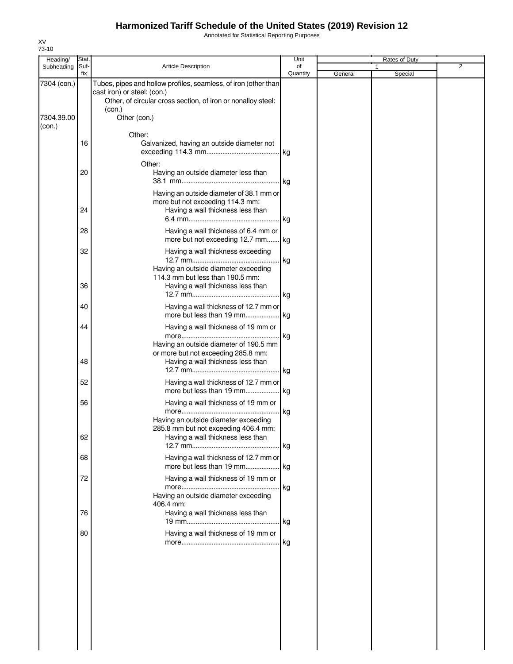Annotated for Statistical Reporting Purposes

| fix<br>Quantity<br>General<br>Special<br>7304 (con.)<br>Tubes, pipes and hollow profiles, seamless, of iron (other than<br>cast iron) or steel: (con.)<br>Other, of circular cross section, of iron or nonalloy steel:<br>(con.)<br>Other (con.)<br>7304.39.00<br>(con.)<br>Other:<br>16<br>Galvanized, having an outside diameter not<br>Other:<br>20<br>Having an outside diameter less than<br>Having an outside diameter of 38.1 mm or<br>more but not exceeding 114.3 mm:<br>24<br>Having a wall thickness less than<br>28<br>Having a wall thickness of 6.4 mm or<br>more but not exceeding 12.7 mm kg<br>Having a wall thickness exceeding<br>32<br>kg<br>Having an outside diameter exceeding<br>114.3 mm but less than 190.5 mm:<br>36<br>Having a wall thickness less than<br>. kg<br>40<br>Having a wall thickness of 12.7 mm or<br>more but less than 19 mm kg<br>44<br>Having a wall thickness of 19 mm or<br>. kg<br>Having an outside diameter of 190.5 mm<br>or more but not exceeding 285.8 mm:<br>48<br>Having a wall thickness less than<br>. kg<br>52<br>Having a wall thickness of 12.7 mm or<br>more but less than 19 mm kg<br>56<br>Having a wall thickness of 19 mm or<br>l kg<br>Having an outside diameter exceeding<br>285.8 mm but not exceeding 406.4 mm:<br>62<br>Having a wall thickness less than<br>Having a wall thickness of 12.7 mm or<br>68<br>more but less than 19 mm<br>. kg<br>72<br>Having a wall thickness of 19 mm or<br>.  kg<br>Having an outside diameter exceeding<br>406.4 mm:<br>76<br>Having a wall thickness less than<br>. kg<br>80<br>Having a wall thickness of 19 mm or<br>. kg | Heading/<br>Subheading | Stat.<br>Suf- | <b>Article Description</b> | Unit<br>of | <b>Rates of Duty</b><br>1 | $\overline{2}$ |
|-----------------------------------------------------------------------------------------------------------------------------------------------------------------------------------------------------------------------------------------------------------------------------------------------------------------------------------------------------------------------------------------------------------------------------------------------------------------------------------------------------------------------------------------------------------------------------------------------------------------------------------------------------------------------------------------------------------------------------------------------------------------------------------------------------------------------------------------------------------------------------------------------------------------------------------------------------------------------------------------------------------------------------------------------------------------------------------------------------------------------------------------------------------------------------------------------------------------------------------------------------------------------------------------------------------------------------------------------------------------------------------------------------------------------------------------------------------------------------------------------------------------------------------------------------------------------------------------------------------------------------------------|------------------------|---------------|----------------------------|------------|---------------------------|----------------|
|                                                                                                                                                                                                                                                                                                                                                                                                                                                                                                                                                                                                                                                                                                                                                                                                                                                                                                                                                                                                                                                                                                                                                                                                                                                                                                                                                                                                                                                                                                                                                                                                                                         |                        |               |                            |            |                           |                |
|                                                                                                                                                                                                                                                                                                                                                                                                                                                                                                                                                                                                                                                                                                                                                                                                                                                                                                                                                                                                                                                                                                                                                                                                                                                                                                                                                                                                                                                                                                                                                                                                                                         |                        |               |                            |            |                           |                |
|                                                                                                                                                                                                                                                                                                                                                                                                                                                                                                                                                                                                                                                                                                                                                                                                                                                                                                                                                                                                                                                                                                                                                                                                                                                                                                                                                                                                                                                                                                                                                                                                                                         |                        |               |                            |            |                           |                |
|                                                                                                                                                                                                                                                                                                                                                                                                                                                                                                                                                                                                                                                                                                                                                                                                                                                                                                                                                                                                                                                                                                                                                                                                                                                                                                                                                                                                                                                                                                                                                                                                                                         |                        |               |                            |            |                           |                |
|                                                                                                                                                                                                                                                                                                                                                                                                                                                                                                                                                                                                                                                                                                                                                                                                                                                                                                                                                                                                                                                                                                                                                                                                                                                                                                                                                                                                                                                                                                                                                                                                                                         |                        |               |                            |            |                           |                |
|                                                                                                                                                                                                                                                                                                                                                                                                                                                                                                                                                                                                                                                                                                                                                                                                                                                                                                                                                                                                                                                                                                                                                                                                                                                                                                                                                                                                                                                                                                                                                                                                                                         |                        |               |                            |            |                           |                |
|                                                                                                                                                                                                                                                                                                                                                                                                                                                                                                                                                                                                                                                                                                                                                                                                                                                                                                                                                                                                                                                                                                                                                                                                                                                                                                                                                                                                                                                                                                                                                                                                                                         |                        |               |                            |            |                           |                |
|                                                                                                                                                                                                                                                                                                                                                                                                                                                                                                                                                                                                                                                                                                                                                                                                                                                                                                                                                                                                                                                                                                                                                                                                                                                                                                                                                                                                                                                                                                                                                                                                                                         |                        |               |                            |            |                           |                |
|                                                                                                                                                                                                                                                                                                                                                                                                                                                                                                                                                                                                                                                                                                                                                                                                                                                                                                                                                                                                                                                                                                                                                                                                                                                                                                                                                                                                                                                                                                                                                                                                                                         |                        |               |                            |            |                           |                |
|                                                                                                                                                                                                                                                                                                                                                                                                                                                                                                                                                                                                                                                                                                                                                                                                                                                                                                                                                                                                                                                                                                                                                                                                                                                                                                                                                                                                                                                                                                                                                                                                                                         |                        |               |                            |            |                           |                |
|                                                                                                                                                                                                                                                                                                                                                                                                                                                                                                                                                                                                                                                                                                                                                                                                                                                                                                                                                                                                                                                                                                                                                                                                                                                                                                                                                                                                                                                                                                                                                                                                                                         |                        |               |                            |            |                           |                |
|                                                                                                                                                                                                                                                                                                                                                                                                                                                                                                                                                                                                                                                                                                                                                                                                                                                                                                                                                                                                                                                                                                                                                                                                                                                                                                                                                                                                                                                                                                                                                                                                                                         |                        |               |                            |            |                           |                |
|                                                                                                                                                                                                                                                                                                                                                                                                                                                                                                                                                                                                                                                                                                                                                                                                                                                                                                                                                                                                                                                                                                                                                                                                                                                                                                                                                                                                                                                                                                                                                                                                                                         |                        |               |                            |            |                           |                |
|                                                                                                                                                                                                                                                                                                                                                                                                                                                                                                                                                                                                                                                                                                                                                                                                                                                                                                                                                                                                                                                                                                                                                                                                                                                                                                                                                                                                                                                                                                                                                                                                                                         |                        |               |                            |            |                           |                |
|                                                                                                                                                                                                                                                                                                                                                                                                                                                                                                                                                                                                                                                                                                                                                                                                                                                                                                                                                                                                                                                                                                                                                                                                                                                                                                                                                                                                                                                                                                                                                                                                                                         |                        |               |                            |            |                           |                |
|                                                                                                                                                                                                                                                                                                                                                                                                                                                                                                                                                                                                                                                                                                                                                                                                                                                                                                                                                                                                                                                                                                                                                                                                                                                                                                                                                                                                                                                                                                                                                                                                                                         |                        |               |                            |            |                           |                |
|                                                                                                                                                                                                                                                                                                                                                                                                                                                                                                                                                                                                                                                                                                                                                                                                                                                                                                                                                                                                                                                                                                                                                                                                                                                                                                                                                                                                                                                                                                                                                                                                                                         |                        |               |                            |            |                           |                |
|                                                                                                                                                                                                                                                                                                                                                                                                                                                                                                                                                                                                                                                                                                                                                                                                                                                                                                                                                                                                                                                                                                                                                                                                                                                                                                                                                                                                                                                                                                                                                                                                                                         |                        |               |                            |            |                           |                |
|                                                                                                                                                                                                                                                                                                                                                                                                                                                                                                                                                                                                                                                                                                                                                                                                                                                                                                                                                                                                                                                                                                                                                                                                                                                                                                                                                                                                                                                                                                                                                                                                                                         |                        |               |                            |            |                           |                |
|                                                                                                                                                                                                                                                                                                                                                                                                                                                                                                                                                                                                                                                                                                                                                                                                                                                                                                                                                                                                                                                                                                                                                                                                                                                                                                                                                                                                                                                                                                                                                                                                                                         |                        |               |                            |            |                           |                |
|                                                                                                                                                                                                                                                                                                                                                                                                                                                                                                                                                                                                                                                                                                                                                                                                                                                                                                                                                                                                                                                                                                                                                                                                                                                                                                                                                                                                                                                                                                                                                                                                                                         |                        |               |                            |            |                           |                |
|                                                                                                                                                                                                                                                                                                                                                                                                                                                                                                                                                                                                                                                                                                                                                                                                                                                                                                                                                                                                                                                                                                                                                                                                                                                                                                                                                                                                                                                                                                                                                                                                                                         |                        |               |                            |            |                           |                |
|                                                                                                                                                                                                                                                                                                                                                                                                                                                                                                                                                                                                                                                                                                                                                                                                                                                                                                                                                                                                                                                                                                                                                                                                                                                                                                                                                                                                                                                                                                                                                                                                                                         |                        |               |                            |            |                           |                |
|                                                                                                                                                                                                                                                                                                                                                                                                                                                                                                                                                                                                                                                                                                                                                                                                                                                                                                                                                                                                                                                                                                                                                                                                                                                                                                                                                                                                                                                                                                                                                                                                                                         |                        |               |                            |            |                           |                |
|                                                                                                                                                                                                                                                                                                                                                                                                                                                                                                                                                                                                                                                                                                                                                                                                                                                                                                                                                                                                                                                                                                                                                                                                                                                                                                                                                                                                                                                                                                                                                                                                                                         |                        |               |                            |            |                           |                |
|                                                                                                                                                                                                                                                                                                                                                                                                                                                                                                                                                                                                                                                                                                                                                                                                                                                                                                                                                                                                                                                                                                                                                                                                                                                                                                                                                                                                                                                                                                                                                                                                                                         |                        |               |                            |            |                           |                |
|                                                                                                                                                                                                                                                                                                                                                                                                                                                                                                                                                                                                                                                                                                                                                                                                                                                                                                                                                                                                                                                                                                                                                                                                                                                                                                                                                                                                                                                                                                                                                                                                                                         |                        |               |                            |            |                           |                |

XV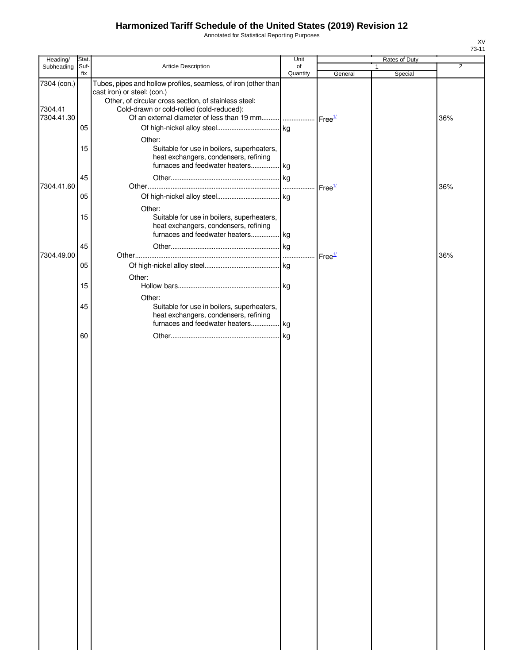Annotated for Statistical Reporting Purposes

| Heading/                             | Stat.                |                                                                                                                                                                                                                                                                        | Unit           |                    | Rates of Duty |                |
|--------------------------------------|----------------------|------------------------------------------------------------------------------------------------------------------------------------------------------------------------------------------------------------------------------------------------------------------------|----------------|--------------------|---------------|----------------|
| Subheading                           | Suf-<br>fix          | Article Description                                                                                                                                                                                                                                                    | of<br>Quantity | General            | 1<br>Special  | $\overline{2}$ |
| 7304 (con.)<br>7304.41<br>7304.41.30 | 05                   | Tubes, pipes and hollow profiles, seamless, of iron (other than<br>cast iron) or steel: (con.)<br>Other, of circular cross section, of stainless steel:<br>Cold-drawn or cold-rolled (cold-reduced):<br>Of an external diameter of less than 19 mm  Free <sup>1/</sup> |                |                    |               | 36%            |
| 7304.41.60                           | 15<br>45<br>05<br>15 | Other:<br>Suitable for use in boilers, superheaters,<br>heat exchangers, condensers, refining<br>furnaces and feedwater heaters kg<br>Other:<br>Suitable for use in boilers, superheaters,                                                                             |                | Free <sup>1/</sup> |               | 36%            |
| 7304.49.00                           | 45<br>05             | heat exchangers, condensers, refining<br>furnaces and feedwater heaters kg                                                                                                                                                                                             | $\lfloor$ kg   | Free <sup>1/</sup> |               | 36%            |
|                                      | 15<br>45             | Other:<br>Other:<br>Suitable for use in boilers, superheaters,                                                                                                                                                                                                         | . kg           |                    |               |                |
|                                      | 60                   | heat exchangers, condensers, refining<br>furnaces and feedwater heaters kg                                                                                                                                                                                             | kg             |                    |               |                |
|                                      |                      |                                                                                                                                                                                                                                                                        |                |                    |               |                |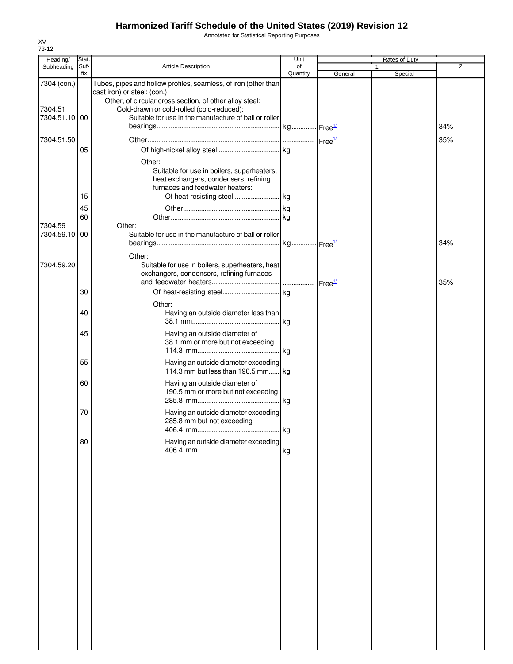Annotated for Statistical Reporting Purposes

| Heading/               | Stat.       |                                                                                                                                                                                                        | Unit           |         | Rates of Duty |                |
|------------------------|-------------|--------------------------------------------------------------------------------------------------------------------------------------------------------------------------------------------------------|----------------|---------|---------------|----------------|
| Subheading             | Suf-<br>fix | <b>Article Description</b>                                                                                                                                                                             | of<br>Quantity | General | 1<br>Special  | $\overline{2}$ |
| 7304 (con.)<br>7304.51 |             | Tubes, pipes and hollow profiles, seamless, of iron (other than<br>cast iron) or steel: (con.)<br>Other, of circular cross section, of other alloy steel:<br>Cold-drawn or cold-rolled (cold-reduced): |                |         |               |                |
| 7304.51.10 00          |             | Suitable for use in the manufacture of ball or roller                                                                                                                                                  |                |         |               | 34%            |
| 7304.51.50             |             |                                                                                                                                                                                                        |                |         |               | 35%            |
|                        | 05          |                                                                                                                                                                                                        |                |         |               |                |
|                        |             | Other:<br>Suitable for use in boilers, superheaters,<br>heat exchangers, condensers, refining<br>furnaces and feedwater heaters:                                                                       |                |         |               |                |
|                        | 15          |                                                                                                                                                                                                        |                |         |               |                |
|                        | 45          |                                                                                                                                                                                                        |                |         |               |                |
|                        | 60          |                                                                                                                                                                                                        |                |         |               |                |
| 7304.59<br>7304.59.10  | 00          | Other:<br>Suitable for use in the manufacture of ball or roller                                                                                                                                        |                |         |               | 34%            |
| 7304.59.20             |             | Other:<br>Suitable for use in boilers, superheaters, heat<br>exchangers, condensers, refining furnaces                                                                                                 |                |         |               |                |
|                        |             |                                                                                                                                                                                                        |                |         |               | 35%            |
|                        | 30          | Other:                                                                                                                                                                                                 |                |         |               |                |
|                        | 40          | Having an outside diameter less than                                                                                                                                                                   |                |         |               |                |
|                        | 45          | Having an outside diameter of<br>38.1 mm or more but not exceeding                                                                                                                                     |                |         |               |                |
|                        | 55          | Having an outside diameter exceeding<br>114.3 mm but less than 190.5 mm kg                                                                                                                             |                |         |               |                |
|                        | 60          | Having an outside diameter of<br>190.5 mm or more but not exceeding                                                                                                                                    |                |         |               |                |
|                        | 70          | Having an outside diameter exceeding<br>285.8 mm but not exceeding                                                                                                                                     |                |         |               |                |
|                        | 80          | Having an outside diameter exceeding                                                                                                                                                                   | kg             |         |               |                |
|                        |             |                                                                                                                                                                                                        |                |         |               |                |
|                        |             |                                                                                                                                                                                                        |                |         |               |                |
|                        |             |                                                                                                                                                                                                        |                |         |               |                |
|                        |             |                                                                                                                                                                                                        |                |         |               |                |
|                        |             |                                                                                                                                                                                                        |                |         |               |                |
|                        |             |                                                                                                                                                                                                        |                |         |               |                |
|                        |             |                                                                                                                                                                                                        |                |         |               |                |
|                        |             |                                                                                                                                                                                                        |                |         |               |                |
|                        |             |                                                                                                                                                                                                        |                |         |               |                |
|                        |             |                                                                                                                                                                                                        |                |         |               |                |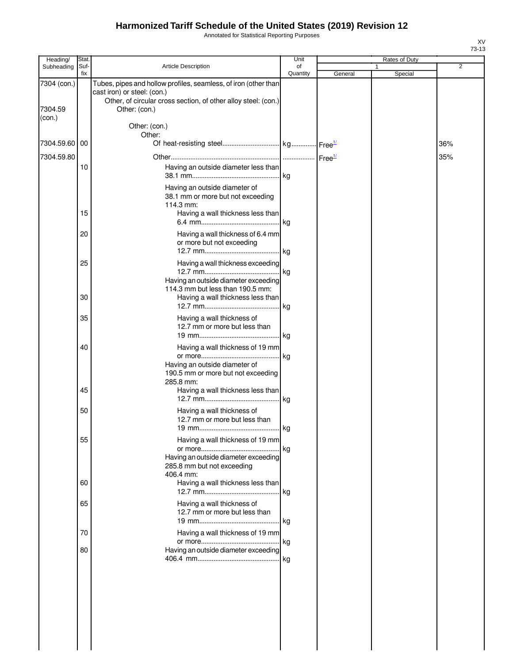Annotated for Statistical Reporting Purposes

| Heading/               | Stat.       |                                                                                                                                                                                   | Unit           |         | Rates of Duty           |     |
|------------------------|-------------|-----------------------------------------------------------------------------------------------------------------------------------------------------------------------------------|----------------|---------|-------------------------|-----|
| Subheading             | Suf-<br>fix | Article Description                                                                                                                                                               | of<br>Quantity | General | $\mathbf{1}$<br>Special | 2   |
| 7304 (con.)<br>7304.59 |             | Tubes, pipes and hollow profiles, seamless, of iron (other than<br>cast iron) or steel: (con.)<br>Other, of circular cross section, of other alloy steel: (con.)<br>Other: (con.) |                |         |                         |     |
| (con.)                 |             | Other: (con.)<br>Other:                                                                                                                                                           |                |         |                         |     |
| 7304.59.60 00          |             |                                                                                                                                                                                   |                |         |                         | 36% |
| 7304.59.80             |             |                                                                                                                                                                                   |                |         |                         | 35% |
|                        | 10          | Having an outside diameter less than                                                                                                                                              | kg             |         |                         |     |
|                        |             | Having an outside diameter of<br>38.1 mm or more but not exceeding<br>114.3 mm:                                                                                                   |                |         |                         |     |
|                        | 15          | Having a wall thickness less than                                                                                                                                                 |                |         |                         |     |
|                        | 20          | Having a wall thickness of 6.4 mm<br>or more but not exceeding                                                                                                                    | . kg           |         |                         |     |
|                        | 25          | Having a wall thickness exceeding<br>Having an outside diameter exceeding                                                                                                         | .  kg          |         |                         |     |
|                        | 30          | 114.3 mm but less than 190.5 mm:<br>Having a wall thickness less than                                                                                                             | kg             |         |                         |     |
|                        | 35          | Having a wall thickness of<br>12.7 mm or more but less than                                                                                                                       |                |         |                         |     |
|                        | 40          | Having a wall thickness of 19 mm                                                                                                                                                  |                |         |                         |     |
|                        |             | Having an outside diameter of<br>190.5 mm or more but not exceeding<br>285.8 mm:                                                                                                  | lkg.           |         |                         |     |
|                        | 45          | Having a wall thickness less than                                                                                                                                                 | kg             |         |                         |     |
|                        | 50          | Having a wall thickness of<br>12.7 mm or more but less than<br>19 mm                                                                                                              | kg             |         |                         |     |
|                        | 55          | Having a wall thickness of 19 mm                                                                                                                                                  | . kg           |         |                         |     |
|                        |             | Having an outside diameter exceeding<br>285.8 mm but not exceeding<br>406.4 mm:                                                                                                   |                |         |                         |     |
|                        | 60          | Having a wall thickness less than                                                                                                                                                 | .lkg           |         |                         |     |
|                        | 65          | Having a wall thickness of<br>12.7 mm or more but less than                                                                                                                       |                |         |                         |     |
|                        | 70          | Having a wall thickness of 19 mm                                                                                                                                                  |                |         |                         |     |
|                        | 80          | Having an outside diameter exceeding                                                                                                                                              | . kg           |         |                         |     |
|                        |             |                                                                                                                                                                                   |                |         |                         |     |
|                        |             |                                                                                                                                                                                   |                |         |                         |     |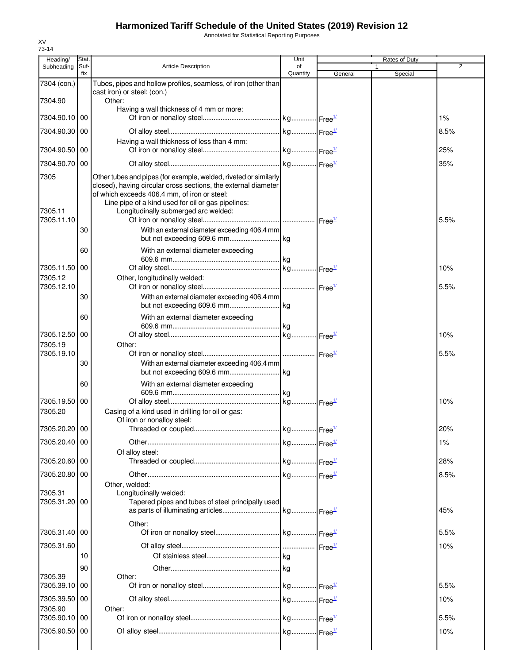Annotated for Statistical Reporting Purposes

| Heading/                      | Stat.       |                                                                                                                                                                                                                                                                                  | Unit           |         | Rates of Duty |                |
|-------------------------------|-------------|----------------------------------------------------------------------------------------------------------------------------------------------------------------------------------------------------------------------------------------------------------------------------------|----------------|---------|---------------|----------------|
| Subheading                    | Suf-<br>fix | <b>Article Description</b>                                                                                                                                                                                                                                                       | of<br>Quantity | General | 1<br>Special  | $\overline{2}$ |
| 7304 (con.)                   |             | Tubes, pipes and hollow profiles, seamless, of iron (other than                                                                                                                                                                                                                  |                |         |               |                |
|                               |             | cast iron) or steel: (con.)                                                                                                                                                                                                                                                      |                |         |               |                |
| 7304.90                       |             | Other:<br>Having a wall thickness of 4 mm or more:                                                                                                                                                                                                                               |                |         |               |                |
| 7304.90.10 00                 |             |                                                                                                                                                                                                                                                                                  |                |         |               | 1%             |
| 7304.90.30 00                 |             |                                                                                                                                                                                                                                                                                  |                |         |               | 8.5%           |
|                               |             | Having a wall thickness of less than 4 mm:                                                                                                                                                                                                                                       |                |         |               |                |
| 7304.90.50   00               |             |                                                                                                                                                                                                                                                                                  |                |         |               | 25%            |
| 7304.90.70 00                 |             |                                                                                                                                                                                                                                                                                  |                |         |               | 35%            |
| 7305<br>7305.11<br>7305.11.10 |             | Other tubes and pipes (for example, welded, riveted or similarly<br>closed), having circular cross sections, the external diameter<br>of which exceeds 406.4 mm, of iron or steel:<br>Line pipe of a kind used for oil or gas pipelines:<br>Longitudinally submerged arc welded: |                |         |               | 5.5%           |
|                               | 30          | With an external diameter exceeding 406.4 mm                                                                                                                                                                                                                                     |                |         |               |                |
|                               | 60          | With an external diameter exceeding                                                                                                                                                                                                                                              |                |         |               |                |
| 7305.11.50 00                 |             |                                                                                                                                                                                                                                                                                  |                |         |               | 10%            |
| 7305.12                       |             | Other, longitudinally welded:                                                                                                                                                                                                                                                    |                |         |               |                |
| 7305.12.10                    |             |                                                                                                                                                                                                                                                                                  |                |         |               | 5.5%           |
|                               | 30          | With an external diameter exceeding 406.4 mm                                                                                                                                                                                                                                     |                |         |               |                |
|                               | 60          | With an external diameter exceeding                                                                                                                                                                                                                                              |                |         |               |                |
| 7305.12.50 00                 |             |                                                                                                                                                                                                                                                                                  |                |         |               | 10%            |
| 7305.19                       |             | Other:                                                                                                                                                                                                                                                                           |                |         |               |                |
| 7305.19.10                    |             |                                                                                                                                                                                                                                                                                  |                |         |               | 5.5%           |
|                               | 30          | With an external diameter exceeding 406.4 mm                                                                                                                                                                                                                                     |                |         |               |                |
|                               | 60          | With an external diameter exceeding                                                                                                                                                                                                                                              |                |         |               |                |
| 7305.19.50 00                 |             |                                                                                                                                                                                                                                                                                  |                |         |               | 10%            |
| 7305.20                       |             | Casing of a kind used in drilling for oil or gas:<br>Of iron or nonalloy steel:                                                                                                                                                                                                  |                |         |               |                |
| 7305.20.20 00                 |             |                                                                                                                                                                                                                                                                                  |                |         |               | 20%            |
| 7305.20.40 00                 |             |                                                                                                                                                                                                                                                                                  |                |         |               | 1%             |
| 7305.20.60 00                 |             | Of alloy steel:                                                                                                                                                                                                                                                                  |                |         |               | 28%            |
|                               |             |                                                                                                                                                                                                                                                                                  |                |         |               |                |
| 7305.20.80 00                 |             | Other, welded:                                                                                                                                                                                                                                                                   |                |         |               | 8.5%           |
| 7305.31<br>7305.31.20 00      |             | Longitudinally welded:<br>Tapered pipes and tubes of steel principally used                                                                                                                                                                                                      |                |         |               | 45%            |
|                               |             | Other:                                                                                                                                                                                                                                                                           |                |         |               |                |
| 7305.31.40 00                 |             |                                                                                                                                                                                                                                                                                  |                |         |               | 5.5%           |
| 7305.31.60                    |             |                                                                                                                                                                                                                                                                                  |                |         |               | 10%            |
|                               | 10          |                                                                                                                                                                                                                                                                                  |                |         |               |                |
| 7305.39                       | 90          | Other:                                                                                                                                                                                                                                                                           |                |         |               |                |
| 7305.39.10 00                 |             |                                                                                                                                                                                                                                                                                  |                |         |               | 5.5%           |
| 7305.39.50 00                 |             |                                                                                                                                                                                                                                                                                  |                |         |               | 10%            |
| 7305.90                       |             | Other:                                                                                                                                                                                                                                                                           |                |         |               |                |
| 7305.90.10 00                 |             |                                                                                                                                                                                                                                                                                  |                |         |               | 5.5%           |
| 7305.90.50 00                 |             |                                                                                                                                                                                                                                                                                  |                |         |               | 10%            |
|                               |             |                                                                                                                                                                                                                                                                                  |                |         |               |                |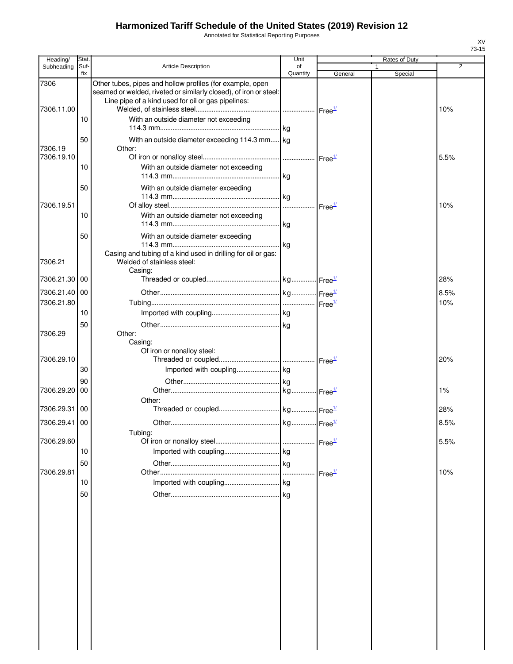Annotated for Statistical Reporting Purposes

| Heading/                                     | Stat       |                                                                                                                                                                                      | Unit           |                                          | Rates of Duty |                    |
|----------------------------------------------|------------|--------------------------------------------------------------------------------------------------------------------------------------------------------------------------------------|----------------|------------------------------------------|---------------|--------------------|
| Subheading                                   | Suf<br>fix | <b>Article Description</b>                                                                                                                                                           | of<br>Quantity | General                                  | Special       | $\overline{2}$     |
| 7306                                         |            | Other tubes, pipes and hollow profiles (for example, open<br>seamed or welded, riveted or similarly closed), of iron or steel:<br>Line pipe of a kind used for oil or gas pipelines: |                |                                          |               |                    |
| 7306.11.00                                   | 10         | With an outside diameter not exceeding                                                                                                                                               |                |                                          |               | 10%                |
| 7306.19                                      | 50         | With an outside diameter exceeding 114.3 mm kg<br>Other:                                                                                                                             |                |                                          |               |                    |
| 7306.19.10                                   | 10         | With an outside diameter not exceeding                                                                                                                                               |                |                                          |               | 5.5%               |
| 7306.19.51                                   | 50         | With an outside diameter exceeding                                                                                                                                                   |                |                                          |               | 10%                |
|                                              | 10         | With an outside diameter not exceeding                                                                                                                                               |                | Free <sup>1/</sup>                       |               |                    |
|                                              | 50         | With an outside diameter exceeding<br>Casing and tubing of a kind used in drilling for oil or gas:                                                                                   |                |                                          |               |                    |
| 7306.21<br>7306.21.30                        | 00         | Welded of stainless steel:<br>Casing:                                                                                                                                                |                |                                          |               | 28%                |
|                                              |            |                                                                                                                                                                                      |                |                                          |               | 8.5%               |
| 7306.21.40 00<br>7306.21.80                  |            |                                                                                                                                                                                      |                |                                          |               | 10%                |
|                                              | 10         |                                                                                                                                                                                      |                |                                          |               |                    |
| 7306.29                                      | 50         | Other:<br>Casing:                                                                                                                                                                    |                |                                          |               |                    |
| 7306.29.10                                   | 30         |                                                                                                                                                                                      |                |                                          |               | 20%                |
| 7306.29.20                                   | 90<br>00   |                                                                                                                                                                                      |                |                                          |               | 1%                 |
|                                              |            |                                                                                                                                                                                      |                |                                          |               |                    |
|                                              |            |                                                                                                                                                                                      |                |                                          |               |                    |
| 7306.29.60                                   |            | Tubing:                                                                                                                                                                              |                |                                          |               | 5.5%               |
|                                              | 10         |                                                                                                                                                                                      |                |                                          |               |                    |
|                                              | 50         |                                                                                                                                                                                      | .lka           |                                          |               |                    |
|                                              |            |                                                                                                                                                                                      |                |                                          |               |                    |
|                                              | 50         |                                                                                                                                                                                      |                |                                          |               |                    |
|                                              |            |                                                                                                                                                                                      |                |                                          |               |                    |
|                                              |            |                                                                                                                                                                                      |                |                                          |               |                    |
|                                              |            |                                                                                                                                                                                      |                |                                          |               |                    |
|                                              |            |                                                                                                                                                                                      |                |                                          |               |                    |
|                                              |            |                                                                                                                                                                                      |                |                                          |               |                    |
|                                              |            |                                                                                                                                                                                      |                |                                          |               |                    |
| 7306.29.31 00<br>7306.29.41 00<br>7306.29.81 | 10         | Of iron or nonalloy steel:<br>Other:                                                                                                                                                 |                | Free <sup>1/</sup><br>Free <sup>1/</sup> |               | 28%<br>8.5%<br>10% |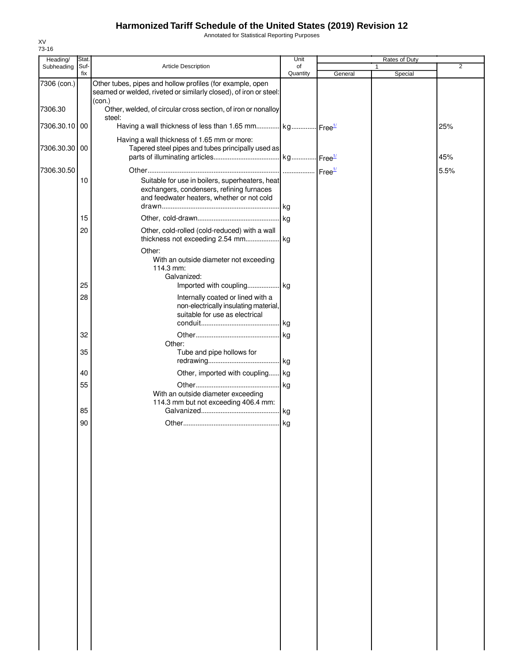Annotated for Statistical Reporting Purposes

| Heading/      | Stat.       |                                                                                                                                            | Unit           |         | Rates of Duty |                |
|---------------|-------------|--------------------------------------------------------------------------------------------------------------------------------------------|----------------|---------|---------------|----------------|
| Subheading    | Suf-<br>fix | Article Description                                                                                                                        | of<br>Quantity |         | 1<br>Special  | $\overline{2}$ |
| 7306 (con.)   |             | Other tubes, pipes and hollow profiles (for example, open<br>seamed or welded, riveted or similarly closed), of iron or steel:             |                | General |               |                |
| 7306.30       |             | (con.)<br>Other, welded, of circular cross section, of iron or nonalloy                                                                    |                |         |               |                |
| 7306.30.10 00 |             | steel:<br>Having a wall thickness of less than 1.65 mm kg Free <sup>1/</sup>                                                               |                |         |               | 25%            |
| 7306.30.30 00 |             | Having a wall thickness of 1.65 mm or more:<br>Tapered steel pipes and tubes principally used as                                           |                |         |               |                |
|               |             |                                                                                                                                            |                |         |               | 45%            |
| 7306.30.50    | 10          | Suitable for use in boilers, superheaters, heat<br>exchangers, condensers, refining furnaces<br>and feedwater heaters, whether or not cold |                |         |               | 5.5%           |
|               | 15          |                                                                                                                                            |                |         |               |                |
|               | 20          | Other, cold-rolled (cold-reduced) with a wall                                                                                              |                |         |               |                |
|               |             | Other:<br>With an outside diameter not exceeding<br>114.3 mm:<br>Galvanized:                                                               |                |         |               |                |
|               | 25          |                                                                                                                                            |                |         |               |                |
|               | 28          | Internally coated or lined with a<br>non-electrically insulating material,<br>suitable for use as electrical                               |                |         |               |                |
|               | 32          |                                                                                                                                            |                |         |               |                |
|               |             | Other:                                                                                                                                     |                |         |               |                |
|               | 35          | Tube and pipe hollows for                                                                                                                  |                |         |               |                |
|               | 40          | Other, imported with coupling kg                                                                                                           |                |         |               |                |
|               | 55          |                                                                                                                                            |                |         |               |                |
|               |             | With an outside diameter exceeding<br>114.3 mm but not exceeding 406.4 mm:                                                                 |                |         |               |                |
|               | 85          |                                                                                                                                            |                |         |               |                |
|               | 90          |                                                                                                                                            |                |         |               |                |
|               |             |                                                                                                                                            |                |         |               |                |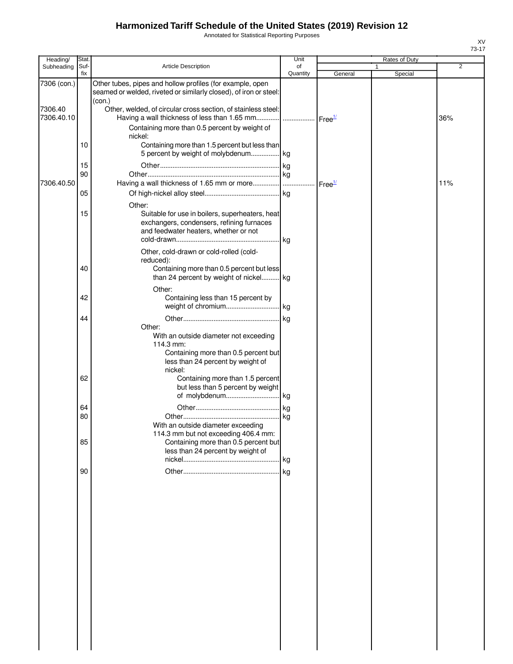Annotated for Statistical Reporting Purposes

| Heading/              | Stat.       |                                                                                                                                             | Unit           |                    | <b>Rates of Duty</b> |     |
|-----------------------|-------------|---------------------------------------------------------------------------------------------------------------------------------------------|----------------|--------------------|----------------------|-----|
| Subheading            | Suf-<br>fix | Article Description                                                                                                                         | of<br>Quantity | General            | 1<br>Special         | 2   |
| 7306 (con.)           |             | Other tubes, pipes and hollow profiles (for example, open<br>seamed or welded, riveted or similarly closed), of iron or steel:<br>(con.)    |                |                    |                      |     |
| 7306.40<br>7306.40.10 |             | Other, welded, of circular cross section, of stainless steel:<br>Having a wall thickness of less than 1.65 mm    Free <sup>1/</sup>         |                |                    |                      | 36% |
|                       |             | Containing more than 0.5 percent by weight of<br>nickel:                                                                                    |                |                    |                      |     |
|                       | 10          | Containing more than 1.5 percent but less than<br>5 percent by weight of molybdenum kg                                                      |                |                    |                      |     |
|                       | 15<br>90    |                                                                                                                                             |                |                    |                      |     |
| 7306.40.50            |             |                                                                                                                                             |                | Free <sup>1/</sup> |                      | 11% |
|                       | 05          | Other:                                                                                                                                      |                |                    |                      |     |
|                       | 15          | Suitable for use in boilers, superheaters, heat<br>exchangers, condensers, refining furnaces<br>and feedwater heaters, whether or not       | . kg           |                    |                      |     |
|                       | 40          | Other, cold-drawn or cold-rolled (cold-<br>reduced):<br>Containing more than 0.5 percent but less                                           |                |                    |                      |     |
|                       |             | than 24 percent by weight of nickel kg<br>Other:                                                                                            |                |                    |                      |     |
|                       | 42          | Containing less than 15 percent by                                                                                                          |                |                    |                      |     |
|                       | 44          | Other:                                                                                                                                      |                |                    |                      |     |
|                       |             | With an outside diameter not exceeding<br>114.3 mm:<br>Containing more than 0.5 percent but<br>less than 24 percent by weight of<br>nickel: |                |                    |                      |     |
|                       | 62          | Containing more than 1.5 percent<br>but less than 5 percent by weight                                                                       |                |                    |                      |     |
|                       | 64          |                                                                                                                                             |                |                    |                      |     |
|                       | 80          |                                                                                                                                             |                |                    |                      |     |
|                       | 85          | With an outside diameter exceeding<br>114.3 mm but not exceeding 406.4 mm:<br>Containing more than 0.5 percent but                          |                |                    |                      |     |
|                       |             | less than 24 percent by weight of                                                                                                           |                |                    |                      |     |
|                       | 90          |                                                                                                                                             |                |                    |                      |     |
|                       |             |                                                                                                                                             |                |                    |                      |     |
|                       |             |                                                                                                                                             |                |                    |                      |     |
|                       |             |                                                                                                                                             |                |                    |                      |     |
|                       |             |                                                                                                                                             |                |                    |                      |     |
|                       |             |                                                                                                                                             |                |                    |                      |     |
|                       |             |                                                                                                                                             |                |                    |                      |     |
|                       |             |                                                                                                                                             |                |                    |                      |     |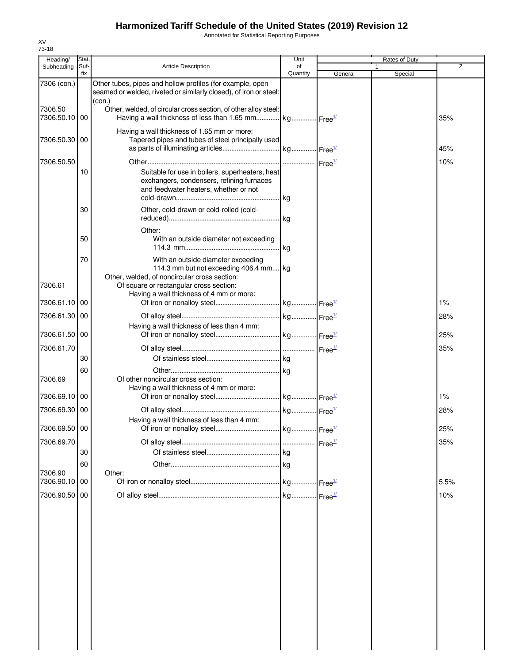Annotated for Statistical Reporting Purposes

| Heading/                   | Stat.       |                                                                                                                                                 | Unit           |                    | Rates of Duty |                |
|----------------------------|-------------|-------------------------------------------------------------------------------------------------------------------------------------------------|----------------|--------------------|---------------|----------------|
| Subheading                 | Suf-<br>fix | <b>Article Description</b>                                                                                                                      | of<br>Quantity | General            | Special       | $\overline{2}$ |
| 7306 (con.)                |             | Other tubes, pipes and hollow profiles (for example, open<br>seamed or welded, riveted or similarly closed), of iron or steel:                  |                |                    |               |                |
| 7306.50<br>7306.50.10   00 |             | (con.)<br>Other, welded, of circular cross section, of other alloy steel:<br>Having a wall thickness of less than 1.65 mm kg Free <sup>1/</sup> |                |                    |               | 35%            |
| 7306.50.30 00              |             | Having a wall thickness of 1.65 mm or more:<br>Tapered pipes and tubes of steel principally used                                                |                |                    |               | 45%            |
|                            |             |                                                                                                                                                 |                |                    |               |                |
| 7306.50.50                 |             |                                                                                                                                                 |                |                    |               | 10%            |
|                            | 10          | Suitable for use in boilers, superheaters, heat<br>exchangers, condensers, refining furnaces<br>and feedwater heaters, whether or not           | <b>kg</b>      |                    |               |                |
|                            | 30          | Other, cold-drawn or cold-rolled (cold-                                                                                                         |                |                    |               |                |
|                            |             |                                                                                                                                                 |                |                    |               |                |
|                            | 50          | Other:<br>With an outside diameter not exceeding                                                                                                | kg             |                    |               |                |
|                            | 70          | With an outside diameter exceeding<br>114.3 mm but not exceeding 406.4 mm kg<br>Other, welded, of noncircular cross section:                    |                |                    |               |                |
| 7306.61                    |             | Of square or rectangular cross section:<br>Having a wall thickness of 4 mm or more:                                                             |                |                    |               |                |
| 7306.61.10                 | 00          |                                                                                                                                                 |                |                    |               | 1%             |
| 7306.61.30 00              |             | Having a wall thickness of less than 4 mm:                                                                                                      |                |                    |               | 28%            |
| 7306.61.50 00              |             |                                                                                                                                                 |                |                    |               | 25%            |
| 7306.61.70                 |             |                                                                                                                                                 |                |                    |               | 35%            |
|                            | 30          |                                                                                                                                                 |                |                    |               |                |
| 7306.69                    | 60          | Of other noncircular cross section:                                                                                                             |                |                    |               |                |
| 7306.69.10 00              |             | Having a wall thickness of 4 mm or more:                                                                                                        |                |                    |               | 1%             |
| 7306.69.30 00              |             |                                                                                                                                                 |                |                    |               | 28%            |
| 7306.69.50 00              |             | Having a wall thickness of less than 4 mm:                                                                                                      |                |                    |               | 25%            |
| 7306.69.70                 |             |                                                                                                                                                 |                | Free <sup>1/</sup> |               | 35%            |
|                            | 30          |                                                                                                                                                 |                |                    |               |                |
|                            | 60          |                                                                                                                                                 |                |                    |               |                |
| 7306.90                    |             | Other:                                                                                                                                          |                |                    |               |                |
| 7306.90.10 00              |             |                                                                                                                                                 |                |                    |               | 5.5%           |
| 7306.90.50                 | 00          |                                                                                                                                                 |                |                    |               | 10%            |
|                            |             |                                                                                                                                                 |                |                    |               |                |
|                            |             |                                                                                                                                                 |                |                    |               |                |
|                            |             |                                                                                                                                                 |                |                    |               |                |
|                            |             |                                                                                                                                                 |                |                    |               |                |
|                            |             |                                                                                                                                                 |                |                    |               |                |
|                            |             |                                                                                                                                                 |                |                    |               |                |
|                            |             |                                                                                                                                                 |                |                    |               |                |
|                            |             |                                                                                                                                                 |                |                    |               |                |
|                            |             |                                                                                                                                                 |                |                    |               |                |
|                            |             |                                                                                                                                                 |                |                    |               |                |
|                            |             |                                                                                                                                                 |                |                    |               |                |
|                            |             |                                                                                                                                                 |                |                    |               |                |
|                            |             |                                                                                                                                                 |                |                    |               |                |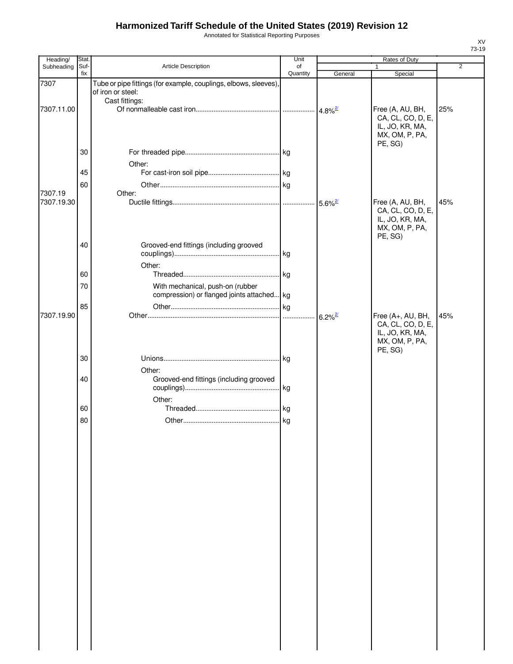Annotated for Statistical Reporting Purposes

| Heading/              | Stat.       |                                                                                      | Unit           |                       | Rates of Duty                                                               |                |
|-----------------------|-------------|--------------------------------------------------------------------------------------|----------------|-----------------------|-----------------------------------------------------------------------------|----------------|
| Subheading            | Suf-<br>fix | Article Description                                                                  | of<br>Quantity | General               | 1<br>Special                                                                | $\overline{2}$ |
| 7307                  |             | Tube or pipe fittings (for example, couplings, elbows, sleeves)<br>of iron or steel: |                |                       |                                                                             |                |
| 7307.11.00            |             | Cast fittings:                                                                       |                | $4.8\%$ <sup>2/</sup> | Free (A, AU, BH,<br>CA, CL, CO, D, E,<br>IL, JO, KR, MA,<br>MX, OM, P, PA,  | 25%            |
|                       | 30          |                                                                                      |                |                       | PE, SG)                                                                     |                |
|                       | 45          | Other:                                                                               |                |                       |                                                                             |                |
| 7307.19<br>7307.19.30 | 60          | Other:                                                                               |                | $5.6\%$ <sup>2/</sup> | Free (A, AU, BH,<br>CA, CL, CO, D, E,<br>IL, JO, KR, MA,                    | 45%            |
|                       | 40          | Grooved-end fittings (including grooved                                              |                |                       | MX, OM, P, PA,<br>PE, SG)                                                   |                |
|                       | 60          | Other:                                                                               |                |                       |                                                                             |                |
|                       | 70          | With mechanical, push-on (rubber<br>compression) or flanged joints attached kg       |                |                       |                                                                             |                |
| 7307.19.90            | 85          |                                                                                      | .              | $6.2\%$ <sup>2/</sup> | Free (A+, AU, BH,<br>CA, CL, CO, D, E,<br>IL, JO, KR, MA,<br>MX, OM, P, PA, | 45%            |
|                       | 30          |                                                                                      |                |                       | PE, SG)                                                                     |                |
|                       | 40          | Other:<br>Grooved-end fittings (including grooved<br>Other:                          |                |                       |                                                                             |                |
|                       | 60          |                                                                                      |                |                       |                                                                             |                |
|                       | 80          |                                                                                      |                |                       |                                                                             |                |
|                       |             |                                                                                      |                |                       |                                                                             |                |
|                       |             |                                                                                      |                |                       |                                                                             |                |
|                       |             |                                                                                      |                |                       |                                                                             |                |
|                       |             |                                                                                      |                |                       |                                                                             |                |
|                       |             |                                                                                      |                |                       |                                                                             |                |
|                       |             |                                                                                      |                |                       |                                                                             |                |
|                       |             |                                                                                      |                |                       |                                                                             |                |
|                       |             |                                                                                      |                |                       |                                                                             |                |
|                       |             |                                                                                      |                |                       |                                                                             |                |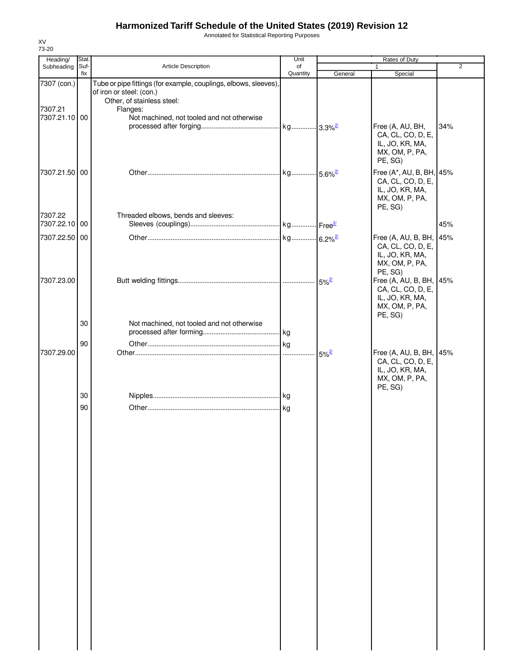Annotated for Statistical Reporting Purposes

| Heading/                                | Stat.       |                                                                                                                                                                                      | Unit                  |                     | Rates of Duty                                                                                 |                |
|-----------------------------------------|-------------|--------------------------------------------------------------------------------------------------------------------------------------------------------------------------------------|-----------------------|---------------------|-----------------------------------------------------------------------------------------------|----------------|
| Subheading                              | Suf-<br>fix | Article Description                                                                                                                                                                  | of<br>Quantity        | General             | $\mathbf{1}$<br>Special                                                                       | $\overline{2}$ |
| 7307 (con.)<br>7307.21<br>7307.21.10 00 |             | Tube or pipe fittings (for example, couplings, elbows, sleeves),<br>of iron or steel: (con.)<br>Other, of stainless steel:<br>Flanges:<br>Not machined, not tooled and not otherwise |                       |                     |                                                                                               |                |
|                                         |             |                                                                                                                                                                                      |                       |                     | Free (A, AU, BH,<br>CA, CL, CO, D, E,<br>IL, JO, KR, MA,<br>MX, OM, P, PA,<br>PE, SG)         | 34%            |
| 7307.21.50 00                           |             |                                                                                                                                                                                      | kg 5.6% <sup>2/</sup> |                     | Free (A*, AU, B, BH, 45%<br>CA, CL, CO, D, E,<br>IL, JO, KR, MA,<br>MX, OM, P, PA,<br>PE, SG) |                |
| 7307.22<br>7307.22.10 00                |             | Threaded elbows, bends and sleeves:                                                                                                                                                  |                       |                     |                                                                                               | 45%            |
| 7307.22.50 00                           |             |                                                                                                                                                                                      |                       |                     | Free (A, AU, B, BH,<br>CA, CL, CO, D, E,<br>IL, JO, KR, MA,<br>MX, OM, P, PA,<br>PE, SG)      | 45%            |
| 7307.23.00                              |             |                                                                                                                                                                                      |                       | $5\%^{27}$          | Free (A, AU, B, BH,<br>CA, CL, CO, D, E,<br>IL, JO, KR, MA,<br>MX, OM, P, PA,<br>PE, SG)      | 45%            |
|                                         | 30          | Not machined, not tooled and not otherwise                                                                                                                                           |                       |                     |                                                                                               |                |
| 7307.29.00                              | 90          |                                                                                                                                                                                      |                       | $5\%$ <sup>2/</sup> | Free (A, AU, B, BH,<br>CA, CL, CO, D, E,<br>IL, JO, KR, MA,<br>MX, OM, P, PA,                 | 45%            |
|                                         | 30          |                                                                                                                                                                                      |                       |                     | PE, SG)                                                                                       |                |
|                                         | 90          |                                                                                                                                                                                      |                       |                     |                                                                                               |                |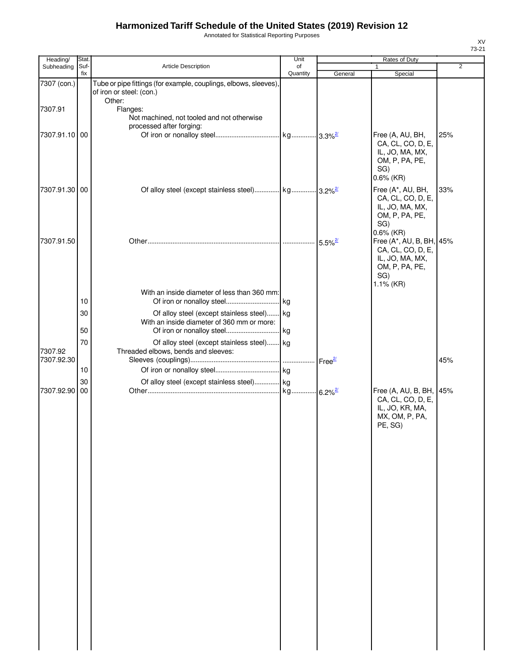Annotated for Statistical Reporting Purposes

| Heading/      | Stat.       |                                                                                              | Unit           |                       | Rates of Duty                                                                                          |                |
|---------------|-------------|----------------------------------------------------------------------------------------------|----------------|-----------------------|--------------------------------------------------------------------------------------------------------|----------------|
| Subheading    | Suf-<br>fix | Article Description                                                                          | of<br>Quantity | General               | 1<br>Special                                                                                           | $\overline{2}$ |
| 7307 (con.)   |             | Tube or pipe fittings (for example, couplings, elbows, sleeves),<br>of iron or steel: (con.) |                |                       |                                                                                                        |                |
| 7307.91       |             | Other:<br>Flanges:<br>Not machined, not tooled and not otherwise<br>processed after forging: |                |                       |                                                                                                        |                |
| 7307.91.10 00 |             |                                                                                              |                |                       | Free (A, AU, BH,<br>CA, CL, CO, D, E,<br>IL, JO, MA, MX,<br>OM, P, PA, PE,<br>SG)<br>$0.6\%$ (KR)      | 25%            |
| 7307.91.30 00 |             | Of alloy steel (except stainless steel) kg 3.2% <sup>2/</sup>                                |                |                       | Free (A*, AU, BH,<br>CA, CL, CO, D, E,<br>IL, JO, MA, MX,<br>OM, P, PA, PE,<br>SG)<br>$0.6\%$ (KR)     | 33%            |
| 7307.91.50    |             |                                                                                              |                | $5.5\%$ <sup>2/</sup> | Free (A*, AU, B, BH, 45%<br>CA, CL, CO, D, E,<br>IL, JO, MA, MX,<br>OM, P, PA, PE,<br>SG)<br>1.1% (KR) |                |
|               | 10          | With an inside diameter of less than 360 mm:                                                 |                |                       |                                                                                                        |                |
|               | 30<br>50    | Of alloy steel (except stainless steel) kg<br>With an inside diameter of 360 mm or more:     |                |                       |                                                                                                        |                |
| 7307.92       | 70          | Of alloy steel (except stainless steel) kg<br>Threaded elbows, bends and sleeves:            |                |                       |                                                                                                        |                |
| 7307.92.30    | 10          |                                                                                              |                |                       |                                                                                                        | 45%            |
| 7307.92.90 00 | 30          | Of alloy steel (except stainless steel) kg                                                   |                |                       | Free (A, AU, B, BH,<br>CA, CL, CO, D, E,<br>IL, JO, KR, MA,<br>MX, OM, P, PA,<br>PE, SG)               | 45%            |
|               |             |                                                                                              |                |                       |                                                                                                        |                |
|               |             |                                                                                              |                |                       |                                                                                                        |                |
|               |             |                                                                                              |                |                       |                                                                                                        |                |
|               |             |                                                                                              |                |                       |                                                                                                        |                |
|               |             |                                                                                              |                |                       |                                                                                                        |                |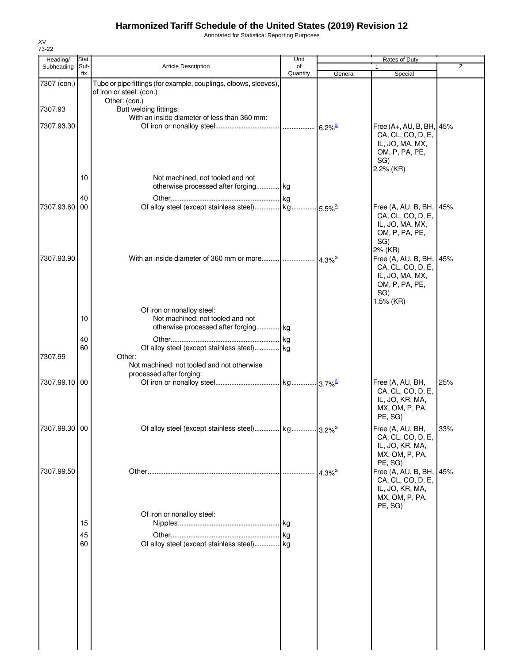Annotated for Statistical Reporting Purposes

| 73-22                  |               |                                                                                                               | Unit     |                       |                                                                                                        |                |
|------------------------|---------------|---------------------------------------------------------------------------------------------------------------|----------|-----------------------|--------------------------------------------------------------------------------------------------------|----------------|
| Heading/<br>Subheading | Stat.<br>Suf- | <b>Article Description</b>                                                                                    | of       |                       | Rates of Duty                                                                                          | $\overline{2}$ |
|                        | fix           |                                                                                                               | Quantity | General               | Special                                                                                                |                |
| 7307 (con.)            |               | Tube or pipe fittings (for example, couplings, elbows, sleeves),<br>of iron or steel: (con.)<br>Other: (con.) |          |                       |                                                                                                        |                |
| 7307.93                |               | Butt welding fittings:<br>With an inside diameter of less than 360 mm:                                        |          |                       |                                                                                                        |                |
| 7307.93.30             |               |                                                                                                               |          |                       | Free (A+, AU, B, BH, 45%<br>CA, CL, CO, D, E,<br>IL, JO, MA, MX,<br>OM, P, PA, PE,<br>SG)<br>2.2% (KR) |                |
|                        | 10            | Not machined, not tooled and not<br>otherwise processed after forging kg                                      |          |                       |                                                                                                        |                |
|                        | 40            |                                                                                                               |          |                       |                                                                                                        |                |
| 7307.93.60             | 00            |                                                                                                               |          |                       | Free (A, AU, B, BH, 45%<br>CA, CL, CO, D, E,<br>IL, JO, MA, MX,<br>OM, P, PA, PE,<br>SG)<br>2% (KR)    |                |
| 7307.93.90             |               | With an inside diameter of 360 mm or more $\frac{1}{4.3\%^{2}}$                                               |          |                       | Free (A, AU, B, BH, 45%<br>CA, CL, CO, D, E,<br>IL, JO, MA, MX,<br>OM, P, PA, PE,<br>SG)<br>1.5% (KR)  |                |
|                        |               | Of iron or nonalloy steel:                                                                                    |          |                       |                                                                                                        |                |
|                        | 10            | Not machined, not tooled and not<br>otherwise processed after forging kg                                      |          |                       |                                                                                                        |                |
|                        | 40            |                                                                                                               |          |                       |                                                                                                        |                |
|                        | 60            | Of alloy steel (except stainless steel) kg                                                                    |          |                       |                                                                                                        |                |
| 7307.99                |               | Other:<br>Not machined, not tooled and not otherwise<br>processed after forging:                              |          |                       |                                                                                                        |                |
| 7307.99.10 00          |               |                                                                                                               |          |                       | Free (A, AU, BH,<br>CA, CL, CO, D, E,<br>IL, JO, KR, MA,<br>MX, OM, P, PA,<br>PE, SG)                  | 25%            |
| 7307.99.30 00          |               |                                                                                                               |          |                       | Free (A, AU, BH,<br>CA, CL, CO, D, E,<br>IL, JO, KR, MA,<br>MX, OM, P, PA,<br>PE, SG)                  | 33%            |
| 7307.99.50             |               | Of iron or nonalloy steel:                                                                                    |          | $4.3\%$ <sup>2/</sup> | Free (A, AU, B, BH,<br>CA, CL, CO, D, E,<br>IL, JO, KR, MA,<br>MX, OM, P, PA,<br>PE, SG)               | 45%            |
|                        | 15            |                                                                                                               |          |                       |                                                                                                        |                |
|                        | 45            |                                                                                                               |          |                       |                                                                                                        |                |
|                        | 60            | Of alloy steel (except stainless steel) kg                                                                    |          |                       |                                                                                                        |                |
|                        |               |                                                                                                               |          |                       |                                                                                                        |                |

XV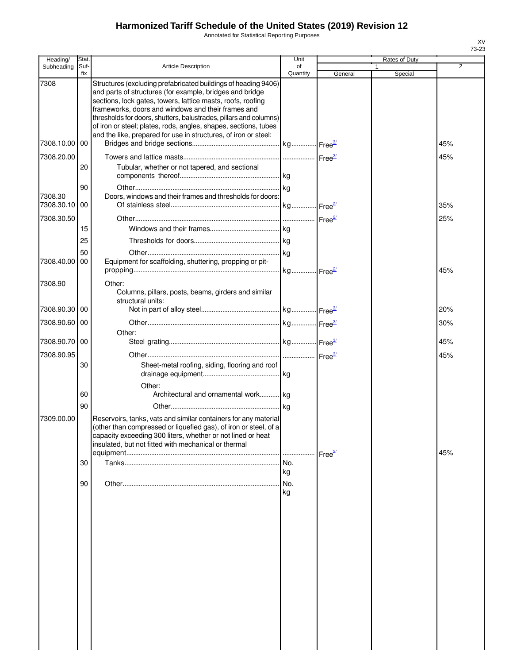Annotated for Statistical Reporting Purposes

| Heading/              | Stat.       |                                                                                                                                                                                                                                                                                                                                                                                                                                                            | Unit            |                    | Rates of Duty |                |
|-----------------------|-------------|------------------------------------------------------------------------------------------------------------------------------------------------------------------------------------------------------------------------------------------------------------------------------------------------------------------------------------------------------------------------------------------------------------------------------------------------------------|-----------------|--------------------|---------------|----------------|
| Subheading            | Suf-<br>fix | <b>Article Description</b>                                                                                                                                                                                                                                                                                                                                                                                                                                 | of<br>Quantity  | General            | Special       | $\overline{2}$ |
| 7308                  |             | Structures (excluding prefabricated buildings of heading 9406)<br>and parts of structures (for example, bridges and bridge<br>sections, lock gates, towers, lattice masts, roofs, roofing<br>frameworks, doors and windows and their frames and<br>thresholds for doors, shutters, balustrades, pillars and columns)<br>of iron or steel; plates, rods, angles, shapes, sections, tubes<br>and the like, prepared for use in structures, of iron or steel: |                 |                    |               |                |
| 7308.10.00 00         |             |                                                                                                                                                                                                                                                                                                                                                                                                                                                            |                 |                    |               | 45%            |
| 7308.20.00            | 20          | Tubular, whether or not tapered, and sectional                                                                                                                                                                                                                                                                                                                                                                                                             |                 |                    |               | 45%            |
|                       | 90          |                                                                                                                                                                                                                                                                                                                                                                                                                                                            |                 |                    |               |                |
| 7308.30<br>7308.30.10 | 00          | Doors, windows and their frames and thresholds for doors:                                                                                                                                                                                                                                                                                                                                                                                                  |                 |                    |               | 35%            |
| 7308.30.50            |             |                                                                                                                                                                                                                                                                                                                                                                                                                                                            |                 |                    |               | 25%            |
|                       | 15          |                                                                                                                                                                                                                                                                                                                                                                                                                                                            |                 |                    |               |                |
|                       | 25<br>50    |                                                                                                                                                                                                                                                                                                                                                                                                                                                            |                 |                    |               |                |
| 7308.40.00            | 00          | Equipment for scaffolding, shuttering, propping or pit-                                                                                                                                                                                                                                                                                                                                                                                                    |                 |                    |               | 45%            |
| 7308.90               |             | Other:<br>Columns, pillars, posts, beams, girders and similar<br>structural units:                                                                                                                                                                                                                                                                                                                                                                         |                 |                    |               |                |
| 7308.90.30 00         |             |                                                                                                                                                                                                                                                                                                                                                                                                                                                            |                 |                    |               | 20%            |
| 7308.90.60 00         |             |                                                                                                                                                                                                                                                                                                                                                                                                                                                            |                 |                    |               | 30%            |
| 7308.90.70 00         |             | Other:                                                                                                                                                                                                                                                                                                                                                                                                                                                     |                 |                    |               | 45%            |
| 7308.90.95            |             |                                                                                                                                                                                                                                                                                                                                                                                                                                                            |                 |                    |               | 45%            |
|                       | 30          | Sheet-metal roofing, siding, flooring and roof                                                                                                                                                                                                                                                                                                                                                                                                             |                 |                    |               |                |
|                       | 60          | Other:<br>Architectural and ornamental work kg                                                                                                                                                                                                                                                                                                                                                                                                             |                 |                    |               |                |
| 7309.00.00            | 90          | Reservoirs, tanks, vats and similar containers for any material<br>(other than compressed or liquefied gas), of iron or steel, of a<br>capacity exceeding 300 liters, whether or not lined or heat<br>insulated, but not fitted with mechanical or thermal                                                                                                                                                                                                 |                 | Free <sup>2/</sup> |               | 45%            |
|                       | 30          |                                                                                                                                                                                                                                                                                                                                                                                                                                                            | No.             |                    |               |                |
|                       | 90          |                                                                                                                                                                                                                                                                                                                                                                                                                                                            | kg<br>No.<br>kg |                    |               |                |
|                       |             |                                                                                                                                                                                                                                                                                                                                                                                                                                                            |                 |                    |               |                |
|                       |             |                                                                                                                                                                                                                                                                                                                                                                                                                                                            |                 |                    |               |                |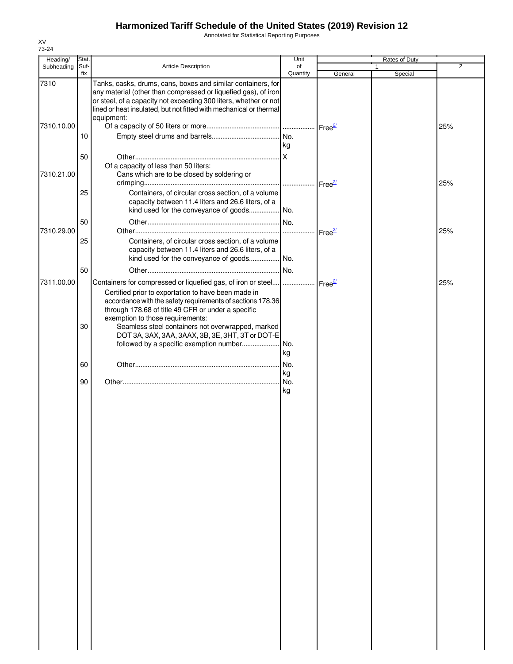Annotated for Statistical Reporting Purposes

| Heading/   | Stat. |                                                                    | Unit            |                                    | Rates of Duty |                |
|------------|-------|--------------------------------------------------------------------|-----------------|------------------------------------|---------------|----------------|
| Subheading | Suf-  | <b>Article Description</b>                                         | of              |                                    |               | $\overline{2}$ |
|            | fix   |                                                                    | Quantity        | General                            | Special       |                |
| 7310       |       | Tanks, casks, drums, cans, boxes and similar containers, for       |                 |                                    |               |                |
|            |       | any material (other than compressed or liquefied gas), of iron     |                 |                                    |               |                |
|            |       | or steel, of a capacity not exceeding 300 liters, whether or not   |                 |                                    |               |                |
|            |       | lined or heat insulated, but not fitted with mechanical or thermal |                 |                                    |               |                |
|            |       | equipment:                                                         |                 |                                    |               |                |
| 7310.10.00 |       |                                                                    |                 | Free <sup>2/</sup>                 |               | 25%            |
|            | 10    |                                                                    |                 |                                    |               |                |
|            |       |                                                                    | kg              |                                    |               |                |
|            | 50    |                                                                    | <b>X</b>        |                                    |               |                |
|            |       |                                                                    |                 |                                    |               |                |
|            |       | Of a capacity of less than 50 liters:                              |                 |                                    |               |                |
| 7310.21.00 |       | Cans which are to be closed by soldering or                        |                 |                                    |               |                |
|            |       |                                                                    |                 |                                    |               | 25%            |
|            | 25    | Containers, of circular cross section, of a volume                 |                 |                                    |               |                |
|            |       | capacity between 11.4 liters and 26.6 liters, of a                 |                 |                                    |               |                |
|            |       | kind used for the conveyance of goods No.                          |                 |                                    |               |                |
|            | 50    |                                                                    | IN <sub>o</sub> |                                    |               |                |
| 7310.29.00 |       |                                                                    | .               | $\mathsf{Free}^{\mathsf{2}\prime}$ |               | 25%            |
|            | 25    | Containers, of circular cross section, of a volume                 |                 |                                    |               |                |
|            |       | capacity between 11.4 liters and 26.6 liters, of a                 |                 |                                    |               |                |
|            |       |                                                                    |                 |                                    |               |                |
|            |       |                                                                    |                 |                                    |               |                |
|            | 50    |                                                                    | No.             |                                    |               |                |
| 7311.00.00 |       | Containers for compressed or liquefied gas, of iron or steel       | .               | Free <sup>2/</sup>                 |               | 25%            |
|            |       | Certified prior to exportation to have been made in                |                 |                                    |               |                |
|            |       | accordance with the safety requirements of sections 178.36         |                 |                                    |               |                |
|            |       | through 178.68 of title 49 CFR or under a specific                 |                 |                                    |               |                |
|            |       | exemption to those requirements:                                   |                 |                                    |               |                |
|            | 30    | Seamless steel containers not overwrapped, marked                  |                 |                                    |               |                |
|            |       | DOT 3A, 3AX, 3AA, 3AAX, 3B, 3E, 3HT, 3T or DOT-E                   |                 |                                    |               |                |
|            |       | followed by a specific exemption number                            | .I No.          |                                    |               |                |
|            |       |                                                                    |                 |                                    |               |                |
|            |       |                                                                    | kg              |                                    |               |                |
|            | 60    |                                                                    | I No.           |                                    |               |                |
|            |       |                                                                    | kg              |                                    |               |                |
|            | 90    |                                                                    | No.             |                                    |               |                |
|            |       |                                                                    | kg              |                                    |               |                |
|            |       |                                                                    |                 |                                    |               |                |
|            |       |                                                                    |                 |                                    |               |                |
|            |       |                                                                    |                 |                                    |               |                |
|            |       |                                                                    |                 |                                    |               |                |
|            |       |                                                                    |                 |                                    |               |                |
|            |       |                                                                    |                 |                                    |               |                |
|            |       |                                                                    |                 |                                    |               |                |
|            |       |                                                                    |                 |                                    |               |                |
|            |       |                                                                    |                 |                                    |               |                |
|            |       |                                                                    |                 |                                    |               |                |
|            |       |                                                                    |                 |                                    |               |                |
|            |       |                                                                    |                 |                                    |               |                |
|            |       |                                                                    |                 |                                    |               |                |
|            |       |                                                                    |                 |                                    |               |                |
|            |       |                                                                    |                 |                                    |               |                |
|            |       |                                                                    |                 |                                    |               |                |
|            |       |                                                                    |                 |                                    |               |                |
|            |       |                                                                    |                 |                                    |               |                |
|            |       |                                                                    |                 |                                    |               |                |
|            |       |                                                                    |                 |                                    |               |                |
|            |       |                                                                    |                 |                                    |               |                |
|            |       |                                                                    |                 |                                    |               |                |
|            |       |                                                                    |                 |                                    |               |                |
|            |       |                                                                    |                 |                                    |               |                |
|            |       |                                                                    |                 |                                    |               |                |
|            |       |                                                                    |                 |                                    |               |                |
|            |       |                                                                    |                 |                                    |               |                |
|            |       |                                                                    |                 |                                    |               |                |
|            |       |                                                                    |                 |                                    |               |                |
|            |       |                                                                    |                 |                                    |               |                |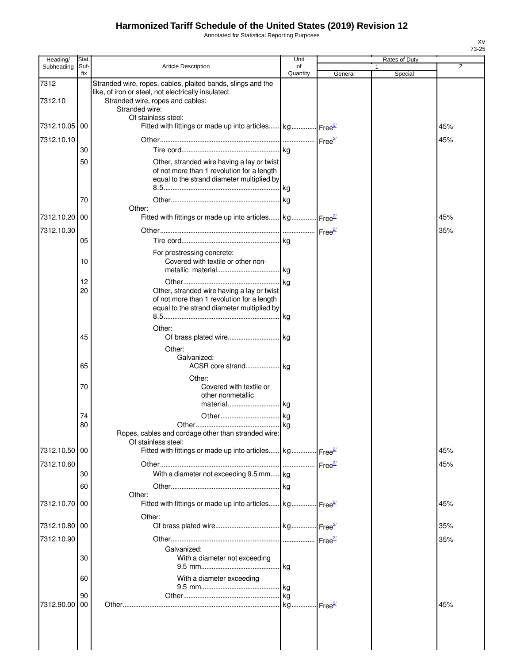Annotated for Statistical Reporting Purposes

| Heading/        | Stat.       |                                                                                                                                                                                                 | Unit           |         | Rates of Duty |                |
|-----------------|-------------|-------------------------------------------------------------------------------------------------------------------------------------------------------------------------------------------------|----------------|---------|---------------|----------------|
| Subheading      | Suf-<br>fix | <b>Article Description</b>                                                                                                                                                                      | of<br>Quantity | General | 1<br>Special  | $\overline{2}$ |
| 7312<br>7312.10 |             | Stranded wire, ropes, cables, plaited bands, slings and the<br>like, of iron or steel, not electrically insulated:<br>Stranded wire, ropes and cables:<br>Stranded wire:<br>Of stainless steel: |                |         |               |                |
| 7312.10.05      | 00          | Fitted with fittings or made up into articles kg Free <sup>2</sup>                                                                                                                              |                |         |               | 45%            |
| 7312.10.10      |             |                                                                                                                                                                                                 |                |         |               | 45%            |
|                 | 30          |                                                                                                                                                                                                 |                |         |               |                |
|                 | 50          | Other, stranded wire having a lay or twist<br>of not more than 1 revolution for a length<br>equal to the strand diameter multiplied by                                                          |                |         |               |                |
|                 | 70          | Other:                                                                                                                                                                                          |                |         |               |                |
| 7312.10.20      | 00          | Fitted with fittings or made up into articles kg Free <sup>27</sup>                                                                                                                             |                |         |               | 45%            |
| 7312.10.30      |             |                                                                                                                                                                                                 |                |         |               | 35%            |
|                 | 05          |                                                                                                                                                                                                 |                |         |               |                |
|                 | 10          | For prestressing concrete:<br>Covered with textile or other non-                                                                                                                                |                |         |               |                |
|                 | 12          |                                                                                                                                                                                                 |                |         |               |                |
|                 | 20          | Other, stranded wire having a lay or twist<br>of not more than 1 revolution for a length<br>equal to the strand diameter multiplied by                                                          | kg             |         |               |                |
|                 | 45          | Other:                                                                                                                                                                                          |                |         |               |                |
|                 | 65          | Other:<br>Galvanized:<br>ACSR core strand kg<br>Other:                                                                                                                                          |                |         |               |                |
|                 | 70          | Covered with textile or<br>other nonmetallic<br>material kg                                                                                                                                     |                |         |               |                |
|                 | 74          |                                                                                                                                                                                                 |                |         |               |                |
|                 | 80          | Ropes, cables and cordage other than stranded wire:<br>Of stainless steel:                                                                                                                      |                |         |               |                |
| 7312.10.50 00   |             | Fitted with fittings or made up into articles kg Free <sup>21</sup>                                                                                                                             |                |         |               | 45%            |
| 7312.10.60      |             |                                                                                                                                                                                                 |                |         |               | 45%            |
|                 | 30          | With a diameter not exceeding 9.5 mm kg                                                                                                                                                         |                |         |               |                |
|                 | 60          |                                                                                                                                                                                                 |                |         |               |                |
| 7312.10.70      | 00          | Other:<br>Fitted with fittings or made up into articles kg Free <sup>21</sup>                                                                                                                   |                |         |               | 45%            |
| 7312.10.80 00   |             | Other:                                                                                                                                                                                          |                |         |               | 35%            |
| 7312.10.90      |             |                                                                                                                                                                                                 |                |         |               | 35%            |
|                 | 30          | Galvanized:<br>With a diameter not exceeding                                                                                                                                                    |                |         |               |                |
|                 | 60          | With a diameter exceeding                                                                                                                                                                       |                |         |               |                |
|                 | 90          |                                                                                                                                                                                                 |                |         |               |                |
| 7312.90.00      | 00          |                                                                                                                                                                                                 |                |         |               | 45%            |
|                 |             |                                                                                                                                                                                                 |                |         |               |                |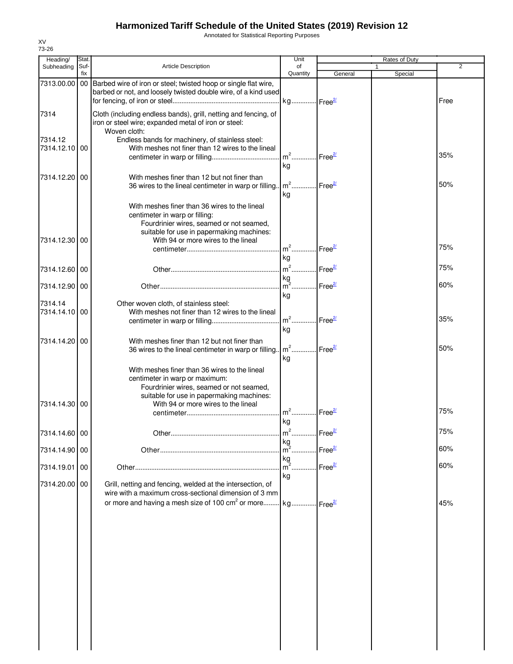Annotated for Statistical Reporting Purposes

| Heading/                 | Stat.       |                                                                                                                                                                                                                 | Unit                                    |                    | Rates of Duty           |      |
|--------------------------|-------------|-----------------------------------------------------------------------------------------------------------------------------------------------------------------------------------------------------------------|-----------------------------------------|--------------------|-------------------------|------|
| Subheading               | Suf-<br>fix | <b>Article Description</b>                                                                                                                                                                                      | of<br>Quantity                          | General            | $\mathbf{1}$<br>Special | 2    |
| 7313.00.00               |             | 00 Barbed wire of iron or steel; twisted hoop or single flat wire,<br>barbed or not, and loosely twisted double wire, of a kind used                                                                            |                                         |                    |                         | Free |
| 7314                     |             | Cloth (including endless bands), grill, netting and fencing, of<br>iron or steel wire; expanded metal of iron or steel:<br>Woven cloth:                                                                         |                                         |                    |                         |      |
| 7314.12<br>7314.12.10    | 00          | Endless bands for machinery, of stainless steel:<br>With meshes not finer than 12 wires to the lineal                                                                                                           | $m2$<br>kg                              | Free <sup>2/</sup> |                         | 35%  |
| 7314.12.20               | $00\,$      | With meshes finer than 12 but not finer than<br>36 wires to the lineal centimeter in warp or filling.                                                                                                           | $m2$<br>kg                              | Free <sup>2/</sup> |                         | 50%  |
| 7314.12.30 00            |             | With meshes finer than 36 wires to the lineal<br>centimeter in warp or filling:<br>Fourdrinier wires, seamed or not seamed,<br>suitable for use in papermaking machines:<br>With 94 or more wires to the lineal |                                         |                    |                         |      |
|                          |             |                                                                                                                                                                                                                 | m <sup>2</sup> Free <sup>2/</sup><br>kg |                    |                         | 75%  |
| 7314.12.60 00            |             |                                                                                                                                                                                                                 | m <sup>2</sup> Free <sup>2/</sup>       |                    |                         | 75%  |
| 7314.12.90 00            |             |                                                                                                                                                                                                                 | $\frac{kg}{m^2}$<br>kg                  | Free <sup>2/</sup> |                         | 60%  |
| 7314.14<br>7314.14.10100 |             | Other woven cloth, of stainless steel:<br>With meshes not finer than 12 wires to the lineal                                                                                                                     | $m2$ .<br>kg                            | Free <sup>2/</sup> |                         | 35%  |
| 7314.14.20100            |             | With meshes finer than 12 but not finer than<br>36 wires to the lineal centimeter in warp or filling                                                                                                            | $m^2$ Free $\frac{27}{2}$<br>kg         |                    |                         | 50%  |
| 7314.14.30 00            |             | With meshes finer than 36 wires to the lineal<br>centimeter in warp or maximum:<br>Fourdrinier wires, seamed or not seamed,<br>suitable for use in papermaking machines:<br>With 94 or more wires to the lineal |                                         |                    |                         |      |
|                          |             |                                                                                                                                                                                                                 | $m2$<br>kg                              | Free <sup>21</sup> |                         | 75%  |
| 7314.14.60 00            |             |                                                                                                                                                                                                                 |                                         |                    |                         | 75%  |
| 7314.14.90 00            |             |                                                                                                                                                                                                                 |                                         |                    |                         | 60%  |
| 7314.19.01               | 00          |                                                                                                                                                                                                                 | kg<br>$m^2$ .<br>kg                     | Free <sup>2/</sup> |                         | 60%  |
| 7314.20.00 00            |             | Grill, netting and fencing, welded at the intersection, of<br>wire with a maximum cross-sectional dimension of 3 mm                                                                                             |                                         |                    |                         |      |
|                          |             | or more and having a mesh size of 100 cm <sup>2</sup> or more kg Free <sup>27</sup>                                                                                                                             |                                         |                    |                         | 45%  |
|                          |             |                                                                                                                                                                                                                 |                                         |                    |                         |      |
|                          |             |                                                                                                                                                                                                                 |                                         |                    |                         |      |
|                          |             |                                                                                                                                                                                                                 |                                         |                    |                         |      |
|                          |             |                                                                                                                                                                                                                 |                                         |                    |                         |      |
|                          |             |                                                                                                                                                                                                                 |                                         |                    |                         |      |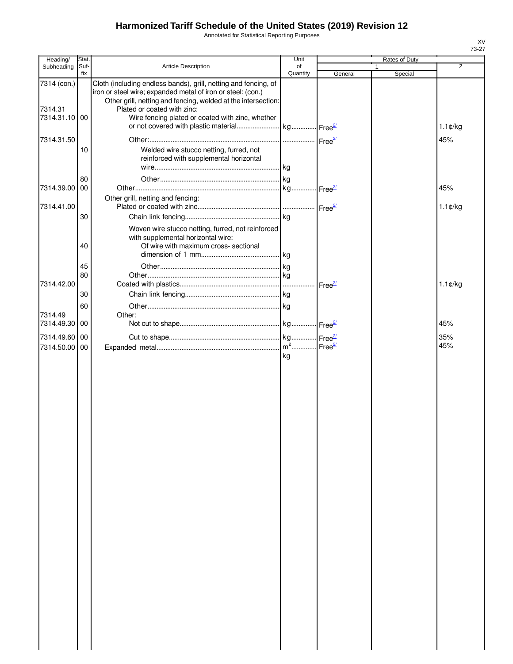Annotated for Statistical Reporting Purposes

| Heading/                                | Stat.       |                                                                                                                                                                                                                                                                                    | Unit           |                    | Rates of Duty |                          |
|-----------------------------------------|-------------|------------------------------------------------------------------------------------------------------------------------------------------------------------------------------------------------------------------------------------------------------------------------------------|----------------|--------------------|---------------|--------------------------|
| Subheading                              | Suf-<br>fix | Article Description                                                                                                                                                                                                                                                                | of<br>Quantity | General            | Special       | $\overline{2}$           |
| 7314 (con.)<br>7314.31<br>7314.31.10 00 |             | Cloth (including endless bands), grill, netting and fencing, of<br>iron or steel wire; expanded metal of iron or steel: (con.)<br>Other grill, netting and fencing, welded at the intersection:<br>Plated or coated with zinc:<br>Wire fencing plated or coated with zinc, whether |                |                    |               | $1.1 \text{C/kg}$        |
| 7314.31.50                              | 10          | Welded wire stucco netting, furred, not<br>reinforced with supplemental horizontal                                                                                                                                                                                                 |                |                    |               | 45%                      |
| 7314.39.00 00<br>7314.41.00             | 80          | Other grill, netting and fencing:                                                                                                                                                                                                                                                  |                |                    |               | 45%<br>$1.1 \text{C/kg}$ |
|                                         | 30<br>40    | Woven wire stucco netting, furred, not reinforced<br>with supplemental horizontal wire:<br>Of wire with maximum cross- sectional                                                                                                                                                   |                |                    |               |                          |
| 7314.42.00                              | 45<br>80    |                                                                                                                                                                                                                                                                                    |                | Free <sup>2/</sup> |               | $1.1$ ¢/kg               |
| 7314.49<br>7314.49.30 00                | 30<br>60    | Other:                                                                                                                                                                                                                                                                             |                |                    |               | 45%                      |
| 7314.49.60 00<br>7314.50.00 00          |             |                                                                                                                                                                                                                                                                                    | kg             |                    |               | 35%<br>45%               |
|                                         |             |                                                                                                                                                                                                                                                                                    |                |                    |               |                          |
|                                         |             |                                                                                                                                                                                                                                                                                    |                |                    |               |                          |
|                                         |             |                                                                                                                                                                                                                                                                                    |                |                    |               |                          |
|                                         |             |                                                                                                                                                                                                                                                                                    |                |                    |               |                          |
|                                         |             |                                                                                                                                                                                                                                                                                    |                |                    |               |                          |
|                                         |             |                                                                                                                                                                                                                                                                                    |                |                    |               |                          |
|                                         |             |                                                                                                                                                                                                                                                                                    |                |                    |               |                          |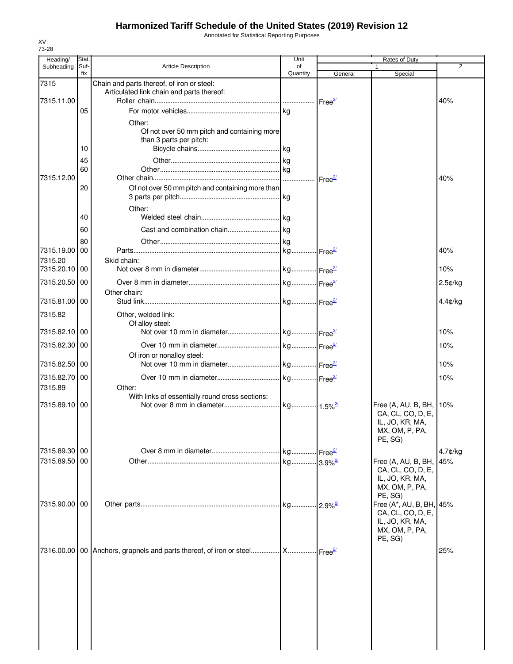Annotated for Statistical Reporting Purposes

| Subheading<br>7315<br>7315.11.00 |             |                                                                                               | Unit           |                         | Rates of Duty                                                                                 | 2          |
|----------------------------------|-------------|-----------------------------------------------------------------------------------------------|----------------|-------------------------|-----------------------------------------------------------------------------------------------|------------|
|                                  | Suf-<br>fix | <b>Article Description</b>                                                                    | of<br>Quantity | General                 | Special                                                                                       |            |
|                                  |             | Chain and parts thereof, of iron or steel:<br>Articulated link chain and parts thereof:       |                |                         |                                                                                               |            |
|                                  |             |                                                                                               |                |                         |                                                                                               | 40%        |
|                                  | 05          | Other:                                                                                        |                |                         |                                                                                               |            |
|                                  | 10          | Of not over 50 mm pitch and containing more<br>than 3 parts per pitch:                        |                |                         |                                                                                               |            |
|                                  | 45          |                                                                                               |                |                         |                                                                                               |            |
|                                  | 60          |                                                                                               |                |                         |                                                                                               |            |
| 7315.12.00                       | 20          | Of not over 50 mm pitch and containing more than                                              |                |                         |                                                                                               | 40%        |
|                                  | 40          | Other:                                                                                        |                |                         |                                                                                               |            |
|                                  | 60          |                                                                                               |                |                         |                                                                                               |            |
|                                  | 80          |                                                                                               |                |                         |                                                                                               |            |
| 7315.19.00                       | 00          |                                                                                               |                |                         |                                                                                               | 40%        |
| 7315.20                          |             | Skid chain:                                                                                   |                |                         |                                                                                               |            |
| 7315.20.10 00                    |             |                                                                                               |                |                         |                                                                                               | 10%        |
| 7315.20.50 00                    |             | Other chain:                                                                                  |                |                         |                                                                                               | $2.5$ ¢/kg |
| 7315.81.00 00                    |             |                                                                                               |                |                         |                                                                                               | $4.4$ c/kg |
| 7315.82                          |             | Other, welded link:<br>Of alloy steel:                                                        |                |                         |                                                                                               |            |
| 7315.82.10 00                    |             |                                                                                               |                |                         |                                                                                               | 10%        |
| 7315.82.30 00                    |             |                                                                                               |                |                         |                                                                                               | 10%        |
| 7315.82.50 00                    |             | Of iron or nonalloy steel:                                                                    |                |                         |                                                                                               | 10%        |
| 7315.82.70 00                    |             |                                                                                               |                |                         |                                                                                               |            |
| 7315.89                          |             | Other:                                                                                        |                |                         |                                                                                               | 10%        |
| 7315.89.10 00                    |             | With links of essentially round cross sections:                                               |                |                         | Free (A, AU, B, BH, 10%<br>CA, CL, CO, D, E,<br>IL, JO, KR, MA,<br>MX, OM, P, PA,<br>PE, SG)  |            |
| 7315.89.30 00                    |             |                                                                                               |                |                         |                                                                                               | $4.7$ ¢/kg |
| 7315.89.50 00                    |             |                                                                                               |                |                         | Free $(A, AU, B, BH,$<br>CA, CL, CO, D, E,<br>IL, JO, KR, MA,<br>MX, OM, P, PA,<br>PE, SG)    | 45%        |
| 7315.90.00 00                    |             |                                                                                               |                | $.12.9\%$ <sup>2/</sup> | Free (A*, AU, B, BH, 45%<br>CA, CL, CO, D, E,<br>IL, JO, KR, MA,<br>MX, OM, P, PA,<br>PE, SG) |            |
|                                  |             | 7316.00.00   00   Anchors, grapnels and parts thereof, of iron or steel  X  Free <sup>2</sup> |                |                         |                                                                                               | 25%        |

XV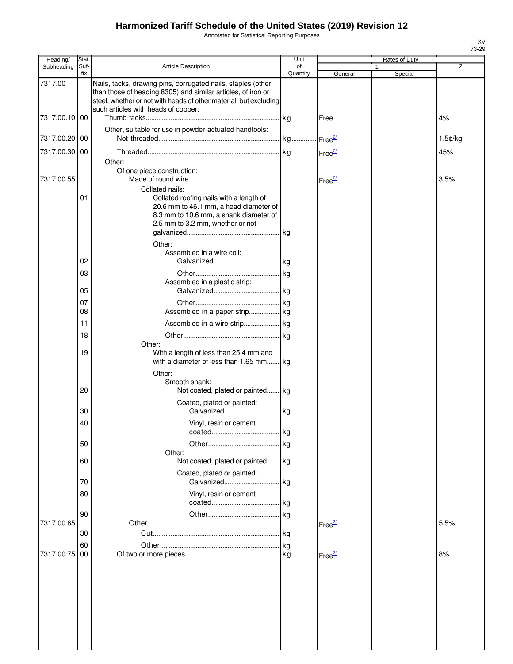Annotated for Statistical Reporting Purposes

| Heading/      | Stat.       |                                                                                                                                                                                                   | Unit               |         |   | Rates of Duty |         |
|---------------|-------------|---------------------------------------------------------------------------------------------------------------------------------------------------------------------------------------------------|--------------------|---------|---|---------------|---------|
| Subheading    | Suf-<br>fix | <b>Article Description</b>                                                                                                                                                                        | of<br>Quantity     | General | 1 | Special       | 2       |
| 7317.00       |             | Nails, tacks, drawing pins, corrugated nails, staples (other<br>than those of heading 8305) and similar articles, of iron or<br>steel, whether or not with heads of other material, but excluding |                    |         |   |               |         |
| 7317.00.10 00 |             | such articles with heads of copper:                                                                                                                                                               | kg Free            |         |   |               | 4%      |
| 7317.00.20 00 |             | Other, suitable for use in powder-actuated handtools:                                                                                                                                             |                    |         |   |               | 1.5¢/kg |
| 7317.00.30 00 |             |                                                                                                                                                                                                   |                    |         |   |               | 45%     |
| 7317.00.55    |             | Other:<br>Of one piece construction:                                                                                                                                                              |                    |         |   |               | 3.5%    |
|               | 01          | Collated nails:<br>Collated roofing nails with a length of<br>20.6 mm to 46.1 mm, a head diameter of<br>8.3 mm to 10.6 mm, a shank diameter of<br>2.5 mm to 3.2 mm, whether or not<br>Other:      | kg                 |         |   |               |         |
|               |             | Assembled in a wire coil:                                                                                                                                                                         |                    |         |   |               |         |
|               | 02          |                                                                                                                                                                                                   |                    |         |   |               |         |
|               | 03<br>05    | Assembled in a plastic strip:                                                                                                                                                                     |                    |         |   |               |         |
|               |             |                                                                                                                                                                                                   | kg                 |         |   |               |         |
|               | 07<br>08    | Assembled in a paper strip kg                                                                                                                                                                     |                    |         |   |               |         |
|               | 11          |                                                                                                                                                                                                   |                    |         |   |               |         |
|               | 18          |                                                                                                                                                                                                   | kg                 |         |   |               |         |
|               |             | Other:                                                                                                                                                                                            |                    |         |   |               |         |
|               | 19          | With a length of less than 25.4 mm and<br>with a diameter of less than 1.65 mm kg<br>Other:                                                                                                       |                    |         |   |               |         |
|               | 20          | Smooth shank:<br>Not coated, plated or painted                                                                                                                                                    | kg                 |         |   |               |         |
|               | 30          | Coated, plated or painted:<br>Galvanized                                                                                                                                                          | kg                 |         |   |               |         |
|               | 40          | Vinyl, resin or cement                                                                                                                                                                            |                    |         |   |               |         |
|               | 50          |                                                                                                                                                                                                   | kg<br>kg           |         |   |               |         |
|               | 60          | Other:<br>Not coated, plated or painted                                                                                                                                                           | kg                 |         |   |               |         |
|               | 70          | Coated, plated or painted:<br>Galvanized                                                                                                                                                          | kg                 |         |   |               |         |
|               | 80          | Vinyl, resin or cement                                                                                                                                                                            |                    |         |   |               |         |
|               | 90          |                                                                                                                                                                                                   | kg                 |         |   |               |         |
| 7317.00.65    |             |                                                                                                                                                                                                   | Free <sup>2/</sup> |         |   |               | 5.5%    |
|               | 30          |                                                                                                                                                                                                   | kg                 |         |   |               |         |
| 7317.00.75    | 60<br>00    |                                                                                                                                                                                                   |                    |         |   |               | 8%      |
|               |             |                                                                                                                                                                                                   |                    |         |   |               |         |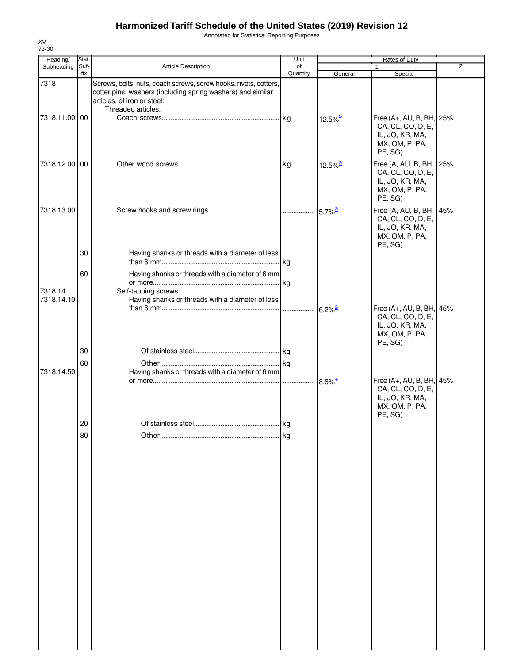Annotated for Statistical Reporting Purposes

| Heading/              | Stat.       |                                                                                                                                                                                      | Unit           | Rates of Duty         |                                                                                               |                |
|-----------------------|-------------|--------------------------------------------------------------------------------------------------------------------------------------------------------------------------------------|----------------|-----------------------|-----------------------------------------------------------------------------------------------|----------------|
| Subheading            | Suf-<br>fix | <b>Article Description</b>                                                                                                                                                           | of<br>Quantity | General               | $\mathbf{1}$<br>Special                                                                       | $\overline{2}$ |
| 7318                  |             | Screws, bolts, nuts, coach screws, screw hooks, rivets, cotters,<br>cotter pins, washers (including spring washers) and similar<br>articles, of iron or steel:<br>Threaded articles: |                |                       |                                                                                               |                |
| 7318.11.00 00         |             |                                                                                                                                                                                      |                |                       | Free (A+, AU, B, BH, 25%<br>CA, CL, CO, D, E,<br>IL, JO, KR, MA,<br>MX, OM, P, PA,<br>PE, SG) |                |
| 7318.12.00 00         |             |                                                                                                                                                                                      |                |                       | Free (A, AU, B, BH, 25%<br>CA, CL, CO, D, E,<br>IL, JO, KR, MA,<br>MX, OM, P, PA,<br>PE, SG)  |                |
| 7318.13.00            |             |                                                                                                                                                                                      |                |                       | Free (A, AU, B, BH, 45%<br>CA, CL, CO, D, E,<br>IL, JO, KR, MA,<br>MX, OM, P, PA,<br>PE, SG)  |                |
|                       | 30          | Having shanks or threads with a diameter of less                                                                                                                                     |                |                       |                                                                                               |                |
| 7318.14<br>7318.14.10 | 60          | Having shanks or threads with a diameter of 6 mm<br>Self-tapping screws:<br>Having shanks or threads with a diameter of less                                                         |                |                       |                                                                                               |                |
|                       |             |                                                                                                                                                                                      |                | $6.2\%$ <sup>2/</sup> | Free (A+, AU, B, BH, 45%<br>CA, CL, CO, D, E,<br>IL, JO, KR, MA,<br>MX, OM, P, PA,<br>PE, SG) |                |
|                       | 30          |                                                                                                                                                                                      |                |                       |                                                                                               |                |
| 7318.14.50            | 60          | Having shanks or threads with a diameter of 6 mm                                                                                                                                     |                |                       |                                                                                               |                |
|                       |             |                                                                                                                                                                                      |                | $8.6\%$ <sup>4/</sup> | Free (A+, AU, B, BH, 45%<br>CA, CL, CO, D, E,<br>IL, JO, KR, MA,<br>MX, OM, P, PA,<br>PE, SG) |                |
|                       | 20          |                                                                                                                                                                                      |                |                       |                                                                                               |                |
|                       | 80          |                                                                                                                                                                                      | kg             |                       |                                                                                               |                |
|                       |             |                                                                                                                                                                                      |                |                       |                                                                                               |                |
|                       |             |                                                                                                                                                                                      |                |                       |                                                                                               |                |
|                       |             |                                                                                                                                                                                      |                |                       |                                                                                               |                |
|                       |             |                                                                                                                                                                                      |                |                       |                                                                                               |                |
|                       |             |                                                                                                                                                                                      |                |                       |                                                                                               |                |
|                       |             |                                                                                                                                                                                      |                |                       |                                                                                               |                |
|                       |             |                                                                                                                                                                                      |                |                       |                                                                                               |                |
|                       |             |                                                                                                                                                                                      |                |                       |                                                                                               |                |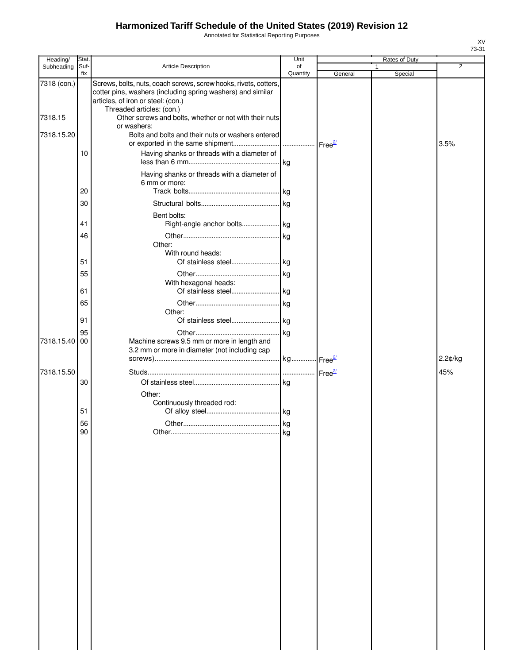Annotated for Statistical Reporting Purposes

| Heading/    | Stat.       |                                                                                                                                                                                                    | Unit           |         |   | Rates of Duty |                |
|-------------|-------------|----------------------------------------------------------------------------------------------------------------------------------------------------------------------------------------------------|----------------|---------|---|---------------|----------------|
| Subheading  | Suf-<br>fix | <b>Article Description</b>                                                                                                                                                                         | of<br>Quantity | General | 1 | Special       | $\overline{2}$ |
| 7318 (con.) |             | Screws, bolts, nuts, coach screws, screw hooks, rivets, cotters,<br>cotter pins, washers (including spring washers) and similar<br>articles, of iron or steel: (con.)<br>Threaded articles: (con.) |                |         |   |               |                |
| 7318.15     |             | Other screws and bolts, whether or not with their nuts<br>or washers:                                                                                                                              |                |         |   |               |                |
| 7318.15.20  |             | Bolts and bolts and their nuts or washers entered                                                                                                                                                  |                |         |   |               | 3.5%           |
|             | 10          | Having shanks or threads with a diameter of                                                                                                                                                        |                |         |   |               |                |
|             | 20          | Having shanks or threads with a diameter of<br>6 mm or more:                                                                                                                                       |                |         |   |               |                |
|             | 30          |                                                                                                                                                                                                    |                |         |   |               |                |
|             | 41          | Bent bolts:                                                                                                                                                                                        |                |         |   |               |                |
|             | 46          |                                                                                                                                                                                                    |                |         |   |               |                |
|             |             | Other:<br>With round heads:                                                                                                                                                                        |                |         |   |               |                |
|             | 51          |                                                                                                                                                                                                    |                |         |   |               |                |
|             | 55          | With hexagonal heads:                                                                                                                                                                              |                |         |   |               |                |
|             | 61          |                                                                                                                                                                                                    |                |         |   |               |                |
|             | 65<br>91    | Other:                                                                                                                                                                                             |                |         |   |               |                |
|             | 95          |                                                                                                                                                                                                    |                |         |   |               |                |
| 7318.15.40  | 00          | Machine screws 9.5 mm or more in length and<br>3.2 mm or more in diameter (not including cap                                                                                                       |                |         |   |               |                |
|             |             |                                                                                                                                                                                                    |                |         |   |               | 2.2¢/kg        |
| 7318.15.50  |             |                                                                                                                                                                                                    |                |         |   |               | 45%            |
|             | 30          |                                                                                                                                                                                                    |                |         |   |               |                |
|             | 51          | Other:<br>Continuously threaded rod:                                                                                                                                                               |                |         |   |               |                |
|             |             |                                                                                                                                                                                                    |                |         |   |               |                |
|             | 56<br>90    |                                                                                                                                                                                                    |                |         |   |               |                |
|             |             |                                                                                                                                                                                                    | . kg           |         |   |               |                |
|             |             |                                                                                                                                                                                                    |                |         |   |               |                |
|             |             |                                                                                                                                                                                                    |                |         |   |               |                |
|             |             |                                                                                                                                                                                                    |                |         |   |               |                |
|             |             |                                                                                                                                                                                                    |                |         |   |               |                |
|             |             |                                                                                                                                                                                                    |                |         |   |               |                |
|             |             |                                                                                                                                                                                                    |                |         |   |               |                |
|             |             |                                                                                                                                                                                                    |                |         |   |               |                |
|             |             |                                                                                                                                                                                                    |                |         |   |               |                |
|             |             |                                                                                                                                                                                                    |                |         |   |               |                |
|             |             |                                                                                                                                                                                                    |                |         |   |               |                |
|             |             |                                                                                                                                                                                                    |                |         |   |               |                |
|             |             |                                                                                                                                                                                                    |                |         |   |               |                |
|             |             |                                                                                                                                                                                                    |                |         |   |               |                |
|             |             |                                                                                                                                                                                                    |                |         |   |               |                |
|             |             |                                                                                                                                                                                                    |                |         |   |               |                |
|             |             |                                                                                                                                                                                                    |                |         |   |               |                |
|             |             |                                                                                                                                                                                                    |                |         |   |               |                |
|             |             |                                                                                                                                                                                                    |                |         |   |               |                |
|             |             |                                                                                                                                                                                                    |                |         |   |               |                |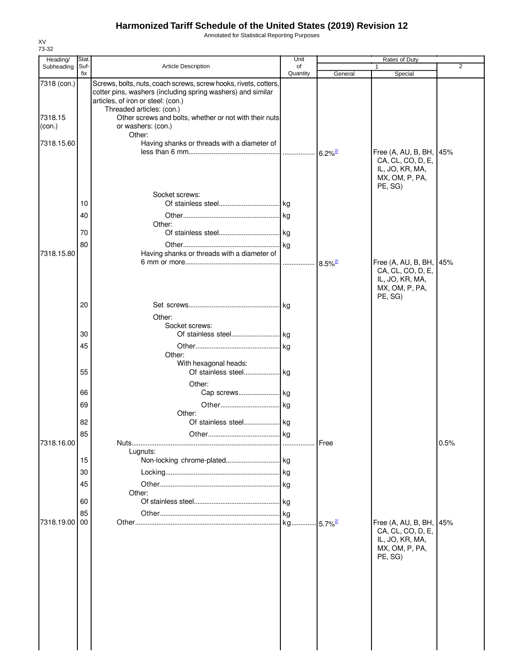Annotated for Statistical Reporting Purposes

| Heading/          | Stat.       |                                                                                                                                                                                                    | Unit           |                        | Rates of Duty                                                                     |      |
|-------------------|-------------|----------------------------------------------------------------------------------------------------------------------------------------------------------------------------------------------------|----------------|------------------------|-----------------------------------------------------------------------------------|------|
| Subheading        | Suf-<br>fix | <b>Article Description</b>                                                                                                                                                                         | of<br>Quantity | General                | Special                                                                           | 2    |
| 7318 (con.)       |             | Screws, bolts, nuts, coach screws, screw hooks, rivets, cotters,<br>cotter pins, washers (including spring washers) and similar<br>articles, of iron or steel: (con.)<br>Threaded articles: (con.) |                |                        |                                                                                   |      |
| 7318.15<br>(con.) |             | Other screws and bolts, whether or not with their nuts<br>or washers: (con.)<br>Other:                                                                                                             |                |                        |                                                                                   |      |
| 7318.15.60        |             | Having shanks or threads with a diameter of                                                                                                                                                        |                | $6.2\%$ <sup>2/</sup>  | Free (A, AU, B, BH, 45%<br>CA, CL, CO, D, E,                                      |      |
|                   | 10<br>40    | Socket screws:<br>Other:                                                                                                                                                                           |                |                        | IL, JO, KR, MA,<br>MX, OM, P, PA,<br>PE, SG)                                      |      |
|                   | 70          |                                                                                                                                                                                                    |                |                        |                                                                                   |      |
|                   | 80          |                                                                                                                                                                                                    |                |                        |                                                                                   |      |
| 7318.15.80        |             | Having shanks or threads with a diameter of                                                                                                                                                        |                | $8.5\%$ <sup>2/</sup>  | Free (A, AU, B, BH, 45%<br>CA, CL, CO, D, E,<br>IL, JO, KR, MA,<br>MX, OM, P, PA, |      |
|                   | 20          | Other:                                                                                                                                                                                             |                |                        | PE, SG)                                                                           |      |
|                   |             | Socket screws:                                                                                                                                                                                     |                |                        |                                                                                   |      |
|                   | 30          |                                                                                                                                                                                                    |                |                        |                                                                                   |      |
|                   | 45          |                                                                                                                                                                                                    |                |                        |                                                                                   |      |
|                   | 55          | Other:<br>With hexagonal heads:<br>Other:                                                                                                                                                          |                |                        |                                                                                   |      |
|                   | 66          |                                                                                                                                                                                                    |                |                        |                                                                                   |      |
|                   | 69          | Other:                                                                                                                                                                                             |                |                        |                                                                                   |      |
|                   | 82          |                                                                                                                                                                                                    |                |                        |                                                                                   |      |
| 7318.16.00        | 85          | Lugnuts:                                                                                                                                                                                           | kg             | <b>I</b> Free          |                                                                                   | 0.5% |
|                   | 15          |                                                                                                                                                                                                    |                |                        |                                                                                   |      |
|                   | 30          |                                                                                                                                                                                                    |                |                        |                                                                                   |      |
|                   | 45          | Other:                                                                                                                                                                                             |                |                        |                                                                                   |      |
|                   | 60          |                                                                                                                                                                                                    |                |                        |                                                                                   |      |
| 7318.19.00        | 85<br>00    |                                                                                                                                                                                                    | <b>kg</b>      | $-5.7\%$ <sup>2/</sup> | Free (A, AU, B, BH,<br>CA, CL, CO, D, E,                                          | 45%  |
|                   |             |                                                                                                                                                                                                    |                |                        | IL, JO, KR, MA,<br>MX, OM, P, PA,<br>PE, SG)                                      |      |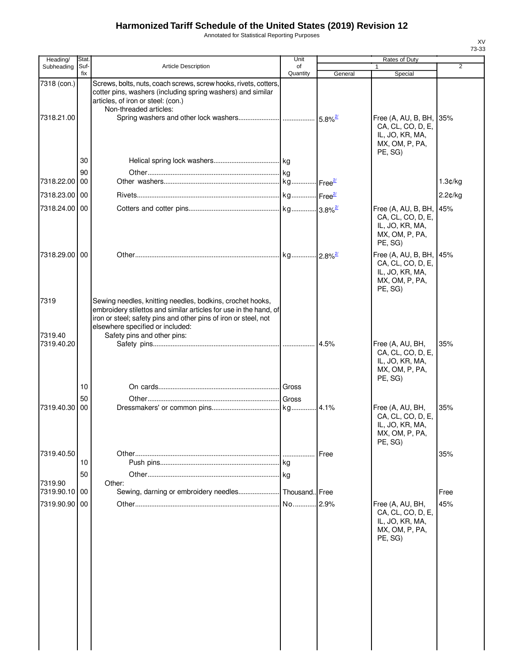Annotated for Statistical Reporting Purposes

| Heading/                  | Stat.       |                                                                                                                                                                                                                                                                      | Unit           |         | Rates of Duty                                                                            |                |
|---------------------------|-------------|----------------------------------------------------------------------------------------------------------------------------------------------------------------------------------------------------------------------------------------------------------------------|----------------|---------|------------------------------------------------------------------------------------------|----------------|
| Subheading                | Suf-<br>fix | Article Description                                                                                                                                                                                                                                                  | of<br>Quantity | General | 1<br>Special                                                                             | $\overline{2}$ |
| 7318 (con.)<br>7318.21.00 |             | Screws, bolts, nuts, coach screws, screw hooks, rivets, cotters,<br>cotter pins, washers (including spring washers) and similar<br>articles, of iron or steel: (con.)<br>Non-threaded articles:                                                                      |                |         | Free $(A, AU, B, BH,$<br>CA, CL, CO, D, E,<br>IL, JO, KR, MA,<br>MX, OM, P, PA,          | 35%            |
|                           |             |                                                                                                                                                                                                                                                                      |                |         | PE, SG)                                                                                  |                |
|                           | 30          |                                                                                                                                                                                                                                                                      |                |         |                                                                                          |                |
| 7318.22.00 00             | 90          |                                                                                                                                                                                                                                                                      |                |         |                                                                                          |                |
|                           |             |                                                                                                                                                                                                                                                                      |                |         |                                                                                          | 1.3¢/kg        |
| 7318.23.00 00             |             |                                                                                                                                                                                                                                                                      |                |         |                                                                                          | 2.2¢/kg        |
| 7318.24.00 00             |             |                                                                                                                                                                                                                                                                      |                |         | Free (A, AU, B, BH,<br>CA, CL, CO, D, E,<br>IL, JO, KR, MA,<br>MX, OM, P, PA,<br>PE, SG) | 45%            |
| 7318.29.00 00             |             |                                                                                                                                                                                                                                                                      |                |         | Free (A, AU, B, BH,<br>CA, CL, CO, D, E,<br>IL, JO, KR, MA,<br>MX, OM, P, PA,<br>PE, SG) | 45%            |
| 7319<br>7319.40           |             | Sewing needles, knitting needles, bodkins, crochet hooks,<br>embroidery stilettos and similar articles for use in the hand, of<br>iron or steel; safety pins and other pins of iron or steel, not<br>elsewhere specified or included:<br>Safety pins and other pins: |                |         |                                                                                          |                |
| 7319.40.20                |             |                                                                                                                                                                                                                                                                      |                |         | Free (A, AU, BH,<br>CA, CL, CO, D, E,<br>IL, JO, KR, MA,<br>MX, OM, P, PA,<br>PE, SG)    | 35%            |
|                           | 10          |                                                                                                                                                                                                                                                                      |                |         |                                                                                          |                |
|                           | 50          |                                                                                                                                                                                                                                                                      |                |         |                                                                                          |                |
| 7319.40.30                | 00          |                                                                                                                                                                                                                                                                      |                |         | Free (A, AU, BH,<br>CA, CL, CO, D, E,<br>IL, JO, KR, MA,<br>MX, OM, P, PA,<br>PE, SG)    | 35%            |
| 7319.40.50                |             |                                                                                                                                                                                                                                                                      |                | Free    |                                                                                          | 35%            |
|                           | 10          |                                                                                                                                                                                                                                                                      |                |         |                                                                                          |                |
|                           | 50          |                                                                                                                                                                                                                                                                      |                |         |                                                                                          |                |
| 7319.90<br>7319.90.10 00  |             | Other:<br>Sewing, darning or embroidery needles                                                                                                                                                                                                                      | Thousand Free  |         |                                                                                          | Free           |
| 7319.90.90 00             |             |                                                                                                                                                                                                                                                                      | No 2.9%        |         | Free (A, AU, BH,<br>CA, CL, CO, D, E,<br>IL, JO, KR, MA,<br>MX, OM, P, PA,<br>PE, SG)    | 45%            |
|                           |             |                                                                                                                                                                                                                                                                      |                |         |                                                                                          |                |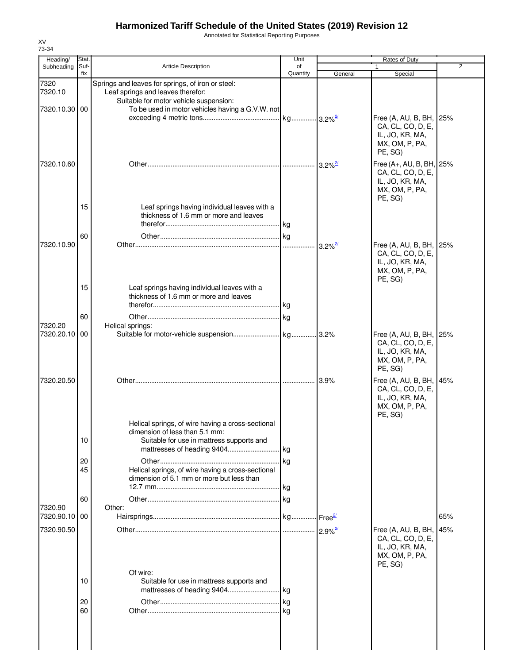Annotated for Statistical Reporting Purposes

| Heading/                 | Stat.       |                                                                                                                                                                | Unit                    |                       | Rates of Duty                                                                                 |                |
|--------------------------|-------------|----------------------------------------------------------------------------------------------------------------------------------------------------------------|-------------------------|-----------------------|-----------------------------------------------------------------------------------------------|----------------|
| Subheading               | Suf-<br>fix | <b>Article Description</b>                                                                                                                                     | of<br>Quantity          | General               | Special                                                                                       | $\overline{2}$ |
| 7320<br>7320.10          |             | Springs and leaves for springs, of iron or steel:<br>Leaf springs and leaves therefor:<br>Suitable for motor vehicle suspension:                               |                         |                       |                                                                                               |                |
| 7320.10.30 00            |             | To be used in motor vehicles having a G.V.W. not                                                                                                               | . kg 3.2% <sup>2/</sup> |                       | Free (A, AU, B, BH, 25%<br>CA, CL, CO, D, E,<br>IL, JO, KR, MA,<br>MX, OM, P, PA,<br>PE, SG)  |                |
| 7320.10.60               |             |                                                                                                                                                                |                         | $3.2\%$ <sup>2/</sup> | Free (A+, AU, B, BH, 25%<br>CA, CL, CO, D, E,<br>IL, JO, KR, MA,<br>MX, OM, P, PA,<br>PE, SG) |                |
|                          | 15          | Leaf springs having individual leaves with a<br>thickness of 1.6 mm or more and leaves                                                                         |                         |                       |                                                                                               |                |
| 7320.10.90               | 60          |                                                                                                                                                                |                         | $3.2\%$ <sup>2/</sup> | Free (A, AU, B, BH, 25%<br>CA, CL, CO, D, E,<br>IL, JO, KR, MA,<br>MX, OM, P, PA,<br>PE, SG)  |                |
|                          | 15<br>60    | Leaf springs having individual leaves with a<br>thickness of 1.6 mm or more and leaves                                                                         |                         |                       |                                                                                               |                |
| 7320.20                  |             | Helical springs:                                                                                                                                               |                         |                       |                                                                                               |                |
| 7320.20.10 00            |             |                                                                                                                                                                |                         |                       | Free (A, AU, B, BH, 25%<br>CA, CL, CO, D, E,<br>IL, JO, KR, MA,<br>MX, OM, P, PA,<br>PE, SG)  |                |
| 7320.20.50               |             |                                                                                                                                                                |                         | 3.9%                  | Free (A, AU, B, BH, 45%<br>CA, CL, CO, D, E,<br>IL, JO, KR, MA,<br>MX, OM, P, PA,<br>PE, SG)  |                |
|                          | 10          | Helical springs, of wire having a cross-sectional<br>dimension of less than 5.1 mm:<br>Suitable for use in mattress supports and<br>mattresses of heading 9404 | kg                      |                       |                                                                                               |                |
|                          | 20<br>45    | Helical springs, of wire having a cross-sectional<br>dimension of 5.1 mm or more but less than                                                                 | kg<br>kg                |                       |                                                                                               |                |
|                          | 60          |                                                                                                                                                                | .lkg                    |                       |                                                                                               |                |
| 7320.90<br>7320.90.10 00 |             | Other:                                                                                                                                                         |                         |                       |                                                                                               | 65%            |
| 7320.90.50               |             |                                                                                                                                                                |                         | $2.9\%$ <sup>2/</sup> | Free (A, AU, B, BH, 45%<br>CA, CL, CO, D, E,<br>IL, JO, KR, MA,<br>MX, OM, P, PA,             |                |
|                          | 10          | Of wire:<br>Suitable for use in mattress supports and                                                                                                          |                         |                       | PE, SG)                                                                                       |                |
|                          | 20<br>60    |                                                                                                                                                                | kg                      |                       |                                                                                               |                |
|                          |             |                                                                                                                                                                |                         |                       |                                                                                               |                |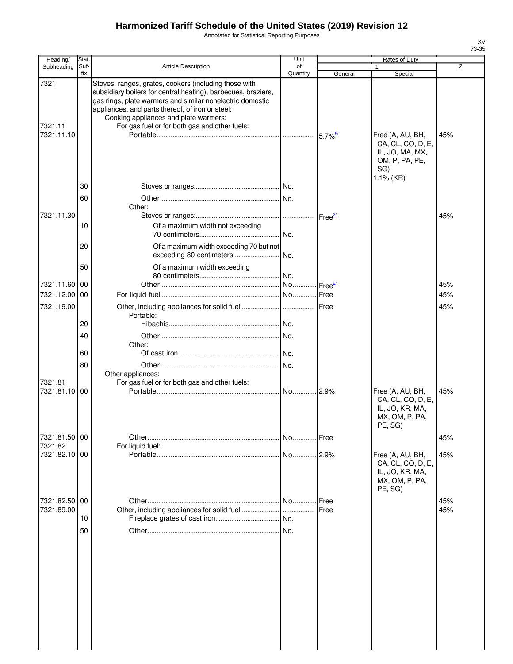Annotated for Statistical Reporting Purposes

| Heading/                 | Stat.       |                                                                                                                                                                                                                                                                                                                                   | Unit           |                    | Rates of Duty                                                                                  |                |
|--------------------------|-------------|-----------------------------------------------------------------------------------------------------------------------------------------------------------------------------------------------------------------------------------------------------------------------------------------------------------------------------------|----------------|--------------------|------------------------------------------------------------------------------------------------|----------------|
| Subheading               | Suf-<br>fix | <b>Article Description</b>                                                                                                                                                                                                                                                                                                        | of<br>Quantity |                    |                                                                                                | $\overline{2}$ |
| 7321<br>7321.11          |             | Stoves, ranges, grates, cookers (including those with<br>subsidiary boilers for central heating), barbecues, braziers,<br>gas rings, plate warmers and similar nonelectric domestic<br>appliances, and parts thereof, of iron or steel:<br>Cooking appliances and plate warmers:<br>For gas fuel or for both gas and other fuels: |                | General            | Special                                                                                        |                |
| 7321.11.10               |             |                                                                                                                                                                                                                                                                                                                                   |                |                    | Free (A, AU, BH,<br>CA, CL, CO, D, E,<br>IL, JO, MA, MX,<br>OM, P, PA, PE,<br>SG)<br>1.1% (KR) | 45%            |
|                          | 30<br>60    |                                                                                                                                                                                                                                                                                                                                   |                |                    |                                                                                                |                |
| 7321.11.30               |             | Other:                                                                                                                                                                                                                                                                                                                            |                |                    |                                                                                                | 45%            |
|                          | 10          | Of a maximum width not exceeding                                                                                                                                                                                                                                                                                                  | No.            |                    |                                                                                                |                |
|                          | 20          | Of a maximum width exceeding 70 but not<br>exceeding 80 centimeters                                                                                                                                                                                                                                                               | No.            |                    |                                                                                                |                |
|                          | 50          | Of a maximum width exceeding                                                                                                                                                                                                                                                                                                      | . No.          |                    |                                                                                                |                |
| 7321.11.60               | 00          |                                                                                                                                                                                                                                                                                                                                   |                | Free <sup>21</sup> |                                                                                                | 45%            |
| 7321.12.00               | 00          |                                                                                                                                                                                                                                                                                                                                   |                | Free               |                                                                                                | 45%            |
| 7321.19.00               |             |                                                                                                                                                                                                                                                                                                                                   |                |                    |                                                                                                | 45%            |
|                          | 20          | Portable:                                                                                                                                                                                                                                                                                                                         |                |                    |                                                                                                |                |
|                          | 40          |                                                                                                                                                                                                                                                                                                                                   |                |                    |                                                                                                |                |
|                          | 60          | Other:                                                                                                                                                                                                                                                                                                                            |                |                    |                                                                                                |                |
|                          | 80          |                                                                                                                                                                                                                                                                                                                                   | No.            |                    |                                                                                                |                |
|                          |             | Other appliances:                                                                                                                                                                                                                                                                                                                 |                |                    |                                                                                                |                |
| 7321.81<br>7321.81.10 00 |             | For gas fuel or for both gas and other fuels:                                                                                                                                                                                                                                                                                     | . No.  2.9%    |                    | Free (A, AU, BH,<br>CA, CL, CO, D, E,<br>IL, JO, KR, MA,<br>MX, OM, P, PA,<br>PE, SG)          | 45%            |
| 7321.81.50 00<br>7321.82 |             |                                                                                                                                                                                                                                                                                                                                   | No             | Free               |                                                                                                | 45%            |
| 7321.82.10 00            |             | For liquid fuel:                                                                                                                                                                                                                                                                                                                  |                |                    | Free (A, AU, BH,<br>CA, CL, CO, D, E,<br>IL, JO, KR, MA,<br>MX, OM, P, PA,<br>PE, SG)          | 45%            |
| 7321.82.50               | 00          |                                                                                                                                                                                                                                                                                                                                   | No             | Free               |                                                                                                | 45%            |
| 7321.89.00               |             |                                                                                                                                                                                                                                                                                                                                   |                | Free               |                                                                                                | 45%            |
|                          | 10          |                                                                                                                                                                                                                                                                                                                                   |                |                    |                                                                                                |                |
|                          | 50          |                                                                                                                                                                                                                                                                                                                                   |                |                    |                                                                                                |                |
|                          |             |                                                                                                                                                                                                                                                                                                                                   |                |                    |                                                                                                |                |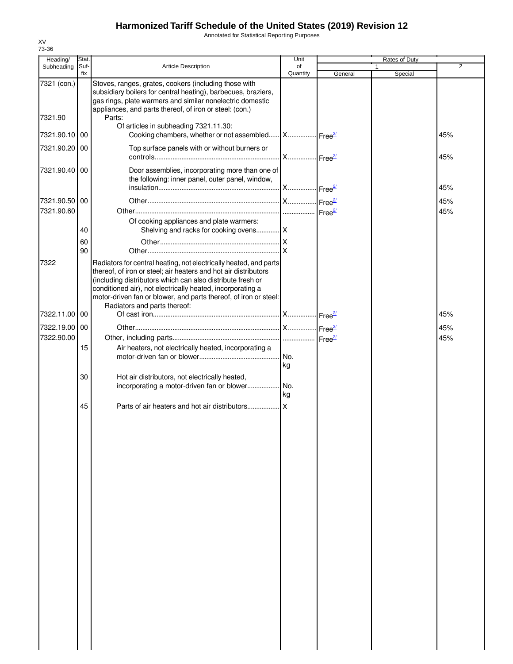Annotated for Statistical Reporting Purposes

| Heading/      | Stat.       |                                                                                                                                                                                                                                                                                                                                                                      | Unit           |         | Rates of Duty |                |
|---------------|-------------|----------------------------------------------------------------------------------------------------------------------------------------------------------------------------------------------------------------------------------------------------------------------------------------------------------------------------------------------------------------------|----------------|---------|---------------|----------------|
| Subheading    | Suf-<br>fix | <b>Article Description</b>                                                                                                                                                                                                                                                                                                                                           | of<br>Quantity | General | Special       | $\overline{2}$ |
| 7321 (con.)   |             | Stoves, ranges, grates, cookers (including those with<br>subsidiary boilers for central heating), barbecues, braziers,<br>gas rings, plate warmers and similar nonelectric domestic<br>appliances, and parts thereof, of iron or steel: (con.)                                                                                                                       |                |         |               |                |
| 7321.90       |             | Parts:<br>Of articles in subheading 7321.11.30:                                                                                                                                                                                                                                                                                                                      |                |         |               |                |
| 7321.90.10 00 |             | Cooking chambers, whether or not assembled X Free <sup>21</sup>                                                                                                                                                                                                                                                                                                      |                |         |               | 45%            |
| 7321.90.20 00 |             | Top surface panels with or without burners or                                                                                                                                                                                                                                                                                                                        |                |         |               | 45%            |
| 7321.90.40 00 |             | Door assemblies, incorporating more than one of<br>the following: inner panel, outer panel, window,                                                                                                                                                                                                                                                                  |                |         |               | 45%            |
| 7321.90.50 00 |             |                                                                                                                                                                                                                                                                                                                                                                      |                |         |               | 45%            |
| 7321.90.60    |             |                                                                                                                                                                                                                                                                                                                                                                      |                |         |               | 45%            |
|               | 40          | Of cooking appliances and plate warmers:                                                                                                                                                                                                                                                                                                                             |                |         |               |                |
|               | 60<br>90    |                                                                                                                                                                                                                                                                                                                                                                      |                |         |               |                |
| 7322          |             | Radiators for central heating, not electrically heated, and parts<br>thereof, of iron or steel; air heaters and hot air distributors<br>(including distributors which can also distribute fresh or<br>conditioned air), not electrically heated, incorporating a<br>motor-driven fan or blower, and parts thereof, of iron or steel:<br>Radiators and parts thereof: |                |         |               |                |
| 7322.11.00 00 |             |                                                                                                                                                                                                                                                                                                                                                                      |                |         |               | 45%            |
| 7322.19.00 00 |             |                                                                                                                                                                                                                                                                                                                                                                      |                |         |               | 45%            |
| 7322.90.00    | 15          | Air heaters, not electrically heated, incorporating a                                                                                                                                                                                                                                                                                                                | kg             |         |               | 45%            |
|               | 30          | Hot air distributors, not electrically heated,                                                                                                                                                                                                                                                                                                                       | kg             |         |               |                |
|               | 45          |                                                                                                                                                                                                                                                                                                                                                                      |                |         |               |                |
|               |             |                                                                                                                                                                                                                                                                                                                                                                      |                |         |               |                |
|               |             |                                                                                                                                                                                                                                                                                                                                                                      |                |         |               |                |
|               |             |                                                                                                                                                                                                                                                                                                                                                                      |                |         |               |                |
|               |             |                                                                                                                                                                                                                                                                                                                                                                      |                |         |               |                |
|               |             |                                                                                                                                                                                                                                                                                                                                                                      |                |         |               |                |
|               |             |                                                                                                                                                                                                                                                                                                                                                                      |                |         |               |                |
|               |             |                                                                                                                                                                                                                                                                                                                                                                      |                |         |               |                |
|               |             |                                                                                                                                                                                                                                                                                                                                                                      |                |         |               |                |
|               |             |                                                                                                                                                                                                                                                                                                                                                                      |                |         |               |                |
|               |             |                                                                                                                                                                                                                                                                                                                                                                      |                |         |               |                |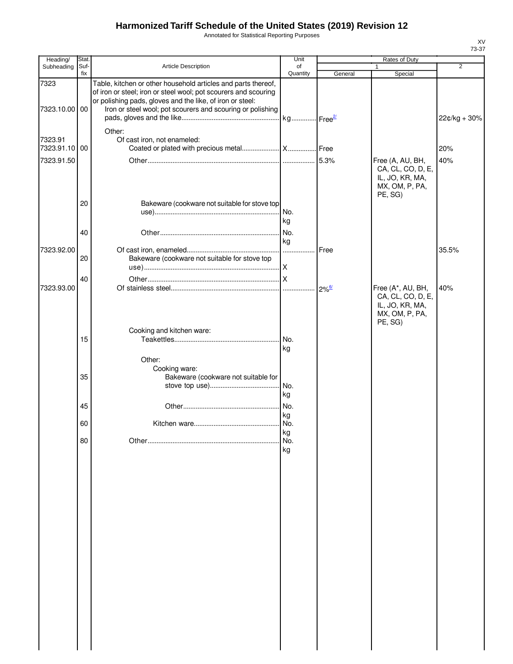Annotated for Statistical Reporting Purposes

| Heading/                 | Stat.       |                                                                                                                                                                                                                                                             | Unit            | Rates of Duty       |                                                                                        |                |
|--------------------------|-------------|-------------------------------------------------------------------------------------------------------------------------------------------------------------------------------------------------------------------------------------------------------------|-----------------|---------------------|----------------------------------------------------------------------------------------|----------------|
| Subheading               | Suf-<br>fix | Article Description                                                                                                                                                                                                                                         | of<br>Quantity  | General             | 1<br>Special                                                                           | $\overline{2}$ |
| 7323<br>7323.10.00 00    |             | Table, kitchen or other household articles and parts thereof,<br>of iron or steel; iron or steel wool; pot scourers and scouring<br>or polishing pads, gloves and the like, of iron or steel:<br>Iron or steel wool; pot scourers and scouring or polishing |                 |                     |                                                                                        |                |
|                          |             |                                                                                                                                                                                                                                                             |                 |                     |                                                                                        | 22¢/kg + 30%   |
| 7323.91<br>7323.91.10 00 |             | Other:<br>Of cast iron, not enameled:                                                                                                                                                                                                                       |                 |                     |                                                                                        | 20%            |
| 7323.91.50               |             |                                                                                                                                                                                                                                                             |                 |                     | Free (A, AU, BH,<br>CA, CL, CO, D, E,<br>IL, JO, KR, MA,<br>MX, OM, P, PA,<br>PE, SG)  | 40%            |
|                          | 20          | Bakeware (cookware not suitable for stove top                                                                                                                                                                                                               | I No.<br>kg     |                     |                                                                                        |                |
|                          | 40          |                                                                                                                                                                                                                                                             | kg              |                     |                                                                                        |                |
| 7323.92.00               | 20          | Bakeware (cookware not suitable for stove top                                                                                                                                                                                                               |                 | Free                |                                                                                        | 35.5%          |
|                          | 40          |                                                                                                                                                                                                                                                             |                 |                     |                                                                                        |                |
| 7323.93.00               |             |                                                                                                                                                                                                                                                             |                 | $2\%^{\frac{6}{2}}$ | Free (A*, AU, BH,<br>CA, CL, CO, D, E,<br>IL, JO, KR, MA,<br>MX, OM, P, PA,<br>PE, SG) | 40%            |
|                          | 15          | Cooking and kitchen ware:                                                                                                                                                                                                                                   | No.<br>kg       |                     |                                                                                        |                |
|                          | 35          | Other:<br>Cooking ware:<br>Bakeware (cookware not suitable for                                                                                                                                                                                              | kg              |                     |                                                                                        |                |
|                          | 45          |                                                                                                                                                                                                                                                             |                 |                     |                                                                                        |                |
|                          | 60          |                                                                                                                                                                                                                                                             | kg              |                     |                                                                                        |                |
|                          | 80          |                                                                                                                                                                                                                                                             | kg<br>No.<br>kg |                     |                                                                                        |                |
|                          |             |                                                                                                                                                                                                                                                             |                 |                     |                                                                                        |                |
|                          |             |                                                                                                                                                                                                                                                             |                 |                     |                                                                                        |                |
|                          |             |                                                                                                                                                                                                                                                             |                 |                     |                                                                                        |                |
|                          |             |                                                                                                                                                                                                                                                             |                 |                     |                                                                                        |                |
|                          |             |                                                                                                                                                                                                                                                             |                 |                     |                                                                                        |                |
|                          |             |                                                                                                                                                                                                                                                             |                 |                     |                                                                                        |                |
|                          |             |                                                                                                                                                                                                                                                             |                 |                     |                                                                                        |                |
|                          |             |                                                                                                                                                                                                                                                             |                 |                     |                                                                                        |                |
|                          |             |                                                                                                                                                                                                                                                             |                 |                     |                                                                                        |                |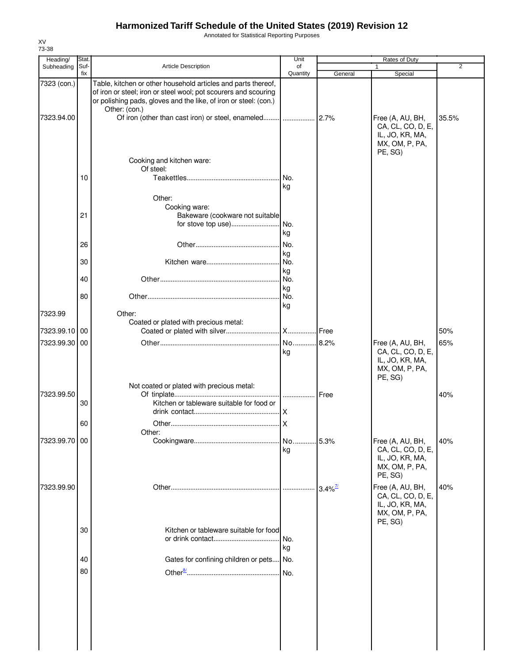Annotated for Statistical Reporting Purposes

|               | Stat.       |                                                                                                                                                                                                                       | Unit            |                       | $\overline{2}$                                                                        |       |
|---------------|-------------|-----------------------------------------------------------------------------------------------------------------------------------------------------------------------------------------------------------------------|-----------------|-----------------------|---------------------------------------------------------------------------------------|-------|
| Subheading    | Suf-<br>fix | <b>Article Description</b>                                                                                                                                                                                            | of<br>Quantity  | General               | Special                                                                               |       |
| 7323 (con.)   |             | Table, kitchen or other household articles and parts thereof,<br>of iron or steel; iron or steel wool; pot scourers and scouring<br>or polishing pads, gloves and the like, of iron or steel: (con.)<br>Other: (con.) |                 |                       |                                                                                       |       |
| 7323.94.00    |             |                                                                                                                                                                                                                       |                 |                       | Free (A, AU, BH,<br>CA, CL, CO, D, E,<br>IL, JO, KR, MA,<br>MX, OM, P, PA,<br>PE, SG) | 35.5% |
|               |             | Cooking and kitchen ware:<br>Of steel:                                                                                                                                                                                |                 |                       |                                                                                       |       |
|               | 10          |                                                                                                                                                                                                                       | No.<br>kg       |                       |                                                                                       |       |
|               |             | Other:<br>Cooking ware:                                                                                                                                                                                               |                 |                       |                                                                                       |       |
|               | 21          | Bakeware (cookware not suitable<br>for stove top use)                                                                                                                                                                 | No.             |                       |                                                                                       |       |
|               | 26          |                                                                                                                                                                                                                       | kg<br>No.       |                       |                                                                                       |       |
|               | 30          |                                                                                                                                                                                                                       | kg<br>No.       |                       |                                                                                       |       |
|               | 40          |                                                                                                                                                                                                                       | kg<br>No.       |                       |                                                                                       |       |
|               | 80          |                                                                                                                                                                                                                       | kg<br>No.<br>kg |                       |                                                                                       |       |
| 7323.99       |             | Other:<br>Coated or plated with precious metal:                                                                                                                                                                       |                 |                       |                                                                                       |       |
| 7323.99.10 00 |             |                                                                                                                                                                                                                       |                 | Free                  |                                                                                       | 50%   |
| 7323.99.30 00 |             |                                                                                                                                                                                                                       | No 8.2%<br>kg   |                       | Free (A, AU, BH,<br>CA, CL, CO, D, E,<br>IL, JO, KR, MA,<br>MX, OM, P, PA,<br>PE, SG) | 65%   |
| 7323.99.50    | 30          | Not coated or plated with precious metal:<br>Kitchen or tableware suitable for food or                                                                                                                                | I  I Free       |                       |                                                                                       | 40%   |
|               | 60          |                                                                                                                                                                                                                       | .IX<br>X        |                       |                                                                                       |       |
| 7323.99.70 00 |             | Other:                                                                                                                                                                                                                | No 5.3%         |                       | Free (A, AU, BH,                                                                      | 40%   |
|               |             |                                                                                                                                                                                                                       | kg              |                       | CA, CL, CO, D, E,<br>IL, JO, KR, MA,<br>MX, OM, P, PA,<br>PE, SG)                     |       |
| 7323.99.90    |             |                                                                                                                                                                                                                       |                 | $3.4\%$ <sup>7/</sup> | Free (A, AU, BH,<br>CA, CL, CO, D, E,<br>IL, JO, KR, MA,<br>MX, OM, P, PA,<br>PE, SG) | 40%   |
|               | 30          | Kitchen or tableware suitable for food                                                                                                                                                                                | No.<br>kg       |                       |                                                                                       |       |
|               | 40          | Gates for confining children or pets                                                                                                                                                                                  | No.             |                       |                                                                                       |       |
|               | 80          |                                                                                                                                                                                                                       | No.             |                       |                                                                                       |       |
|               |             |                                                                                                                                                                                                                       |                 |                       |                                                                                       |       |
|               |             |                                                                                                                                                                                                                       |                 |                       |                                                                                       |       |
|               |             |                                                                                                                                                                                                                       |                 |                       |                                                                                       |       |

XV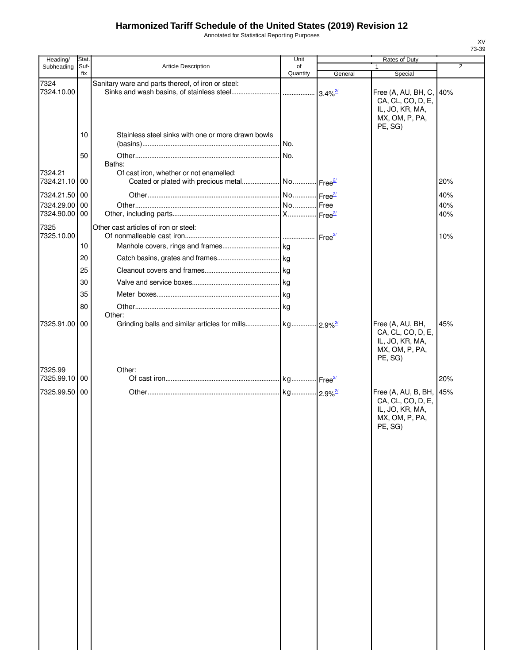Annotated for Statistical Reporting Purposes

| Heading/                 | Stat.       |                                                    | Unit           |                             | <b>Rates of Duty</b>                                                                         |                |
|--------------------------|-------------|----------------------------------------------------|----------------|-----------------------------|----------------------------------------------------------------------------------------------|----------------|
| Subheading               | Suf-<br>fix | Article Description                                | of<br>Quantity | General                     | $\mathbf{1}$<br>Special                                                                      | $\overline{2}$ |
| 7324<br>7324.10.00       |             | Sanitary ware and parts thereof, of iron or steel: |                | $3.4\%$ <sup>2/</sup>       | Free (A, AU, BH, C, 40%<br>CA, CL, CO, D, E,                                                 |                |
|                          |             |                                                    |                |                             | IL, JO, KR, MA,<br>MX, OM, P, PA,<br>PE, SG)                                                 |                |
|                          | 10          | Stainless steel sinks with one or more drawn bowls |                |                             |                                                                                              |                |
|                          | 50          |                                                    |                |                             |                                                                                              |                |
| 7324.21<br>7324.21.10 00 |             | Baths:<br>Of cast iron, whether or not enamelled:  |                |                             |                                                                                              | 20%            |
| 7324.21.50 00            |             |                                                    |                |                             |                                                                                              | 40%            |
| 7324.29.00               | 00          |                                                    |                |                             |                                                                                              | 40%            |
| 7324.90.00 00            |             |                                                    |                |                             |                                                                                              | 40%            |
| 7325<br>7325.10.00       |             | Other cast articles of iron or steel:              |                | $\text{Free}^{\frac{2}{2}}$ |                                                                                              | 10%            |
|                          | 10          |                                                    |                |                             |                                                                                              |                |
|                          | 20          |                                                    |                |                             |                                                                                              |                |
|                          | 25          |                                                    |                |                             |                                                                                              |                |
|                          | 30          |                                                    |                |                             |                                                                                              |                |
|                          | 35          |                                                    |                |                             |                                                                                              |                |
|                          | 80          |                                                    |                |                             |                                                                                              |                |
| 7325.91.00 00            |             | Other:                                             |                |                             | Free (A, AU, BH,                                                                             | 45%            |
|                          |             |                                                    |                |                             | CA, CL, CO, D, E,<br>IL, JO, KR, MA,<br>MX, OM, P, PA,<br>PE, SG)                            |                |
| 7325.99<br>7325.99.10 00 |             | Other:                                             |                |                             |                                                                                              | 20%            |
| 7325.99.50 00            |             |                                                    |                |                             |                                                                                              |                |
|                          |             |                                                    |                |                             | Free (A, AU, B, BH, 45%<br>CA, CL, CO, D, E,<br>IL, JO, KR, MA,<br>MX, OM, P, PA,<br>PE, SG) |                |
|                          |             |                                                    |                |                             |                                                                                              |                |
|                          |             |                                                    |                |                             |                                                                                              |                |
|                          |             |                                                    |                |                             |                                                                                              |                |
|                          |             |                                                    |                |                             |                                                                                              |                |
|                          |             |                                                    |                |                             |                                                                                              |                |
|                          |             |                                                    |                |                             |                                                                                              |                |
|                          |             |                                                    |                |                             |                                                                                              |                |
|                          |             |                                                    |                |                             |                                                                                              |                |
|                          |             |                                                    |                |                             |                                                                                              |                |
|                          |             |                                                    |                |                             |                                                                                              |                |
|                          |             |                                                    |                |                             |                                                                                              |                |
|                          |             |                                                    |                |                             |                                                                                              |                |
|                          |             |                                                    |                |                             |                                                                                              |                |
|                          |             |                                                    |                |                             |                                                                                              |                |
|                          |             |                                                    |                |                             |                                                                                              |                |
|                          |             |                                                    |                |                             |                                                                                              |                |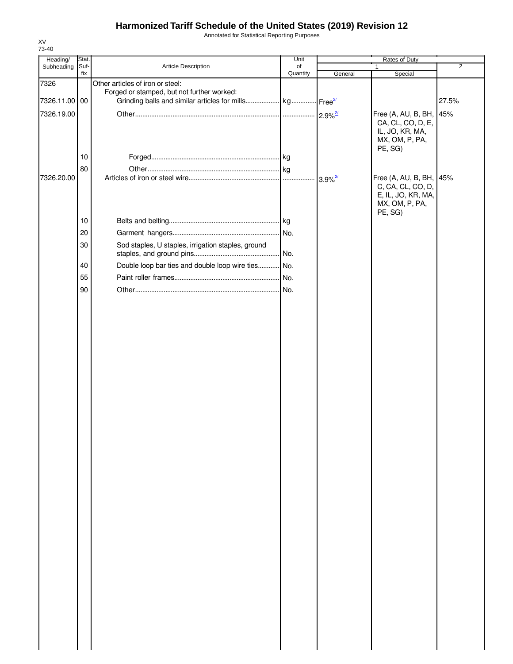Annotated for Statistical Reporting Purposes

| Heading/      | Stat.    |                                                                                | Unit     | Rates of Duty         |                                                                      |                |  |
|---------------|----------|--------------------------------------------------------------------------------|----------|-----------------------|----------------------------------------------------------------------|----------------|--|
| Subheading    | Suf-     | Article Description                                                            | of       |                       |                                                                      | $\overline{2}$ |  |
| 7326          | fix      | Other articles of iron or steel:<br>Forged or stamped, but not further worked: | Quantity | General               | Special                                                              |                |  |
| 7326.11.00 00 |          | Grinding balls and similar articles for mills kg Free <sup>21</sup>            |          |                       |                                                                      | 27.5%          |  |
| 7326.19.00    |          |                                                                                |          | $2.9\%$ <sup>2/</sup> | Free (A, AU, B, BH, 45%<br>CA, CL, CO, D, E,                         |                |  |
|               | 10<br>80 |                                                                                |          |                       | IL, JO, KR, MA,<br>MX, OM, P, PA,<br>PE, SG)                         |                |  |
| 7326.20.00    |          |                                                                                |          | $3.9\%$ <sup>2/</sup> | Free (A, AU, B, BH, 45%                                              |                |  |
|               |          |                                                                                |          |                       | C, CA, CL, CO, D,<br>E, IL, JO, KR, MA,<br>MX, OM, P, PA,<br>PE, SG) |                |  |
|               | 10       |                                                                                |          |                       |                                                                      |                |  |
|               | 20       |                                                                                |          |                       |                                                                      |                |  |
|               | 30       | Sod staples, U staples, irrigation staples, ground                             |          |                       |                                                                      |                |  |
|               | 40       | Double loop bar ties and double loop wire ties No.                             |          |                       |                                                                      |                |  |
|               | 55       |                                                                                |          |                       |                                                                      |                |  |
|               | 90       |                                                                                |          |                       |                                                                      |                |  |
|               |          |                                                                                |          |                       |                                                                      |                |  |
|               |          |                                                                                |          |                       |                                                                      |                |  |
|               |          |                                                                                |          |                       |                                                                      |                |  |
|               |          |                                                                                |          |                       |                                                                      |                |  |
|               |          |                                                                                |          |                       |                                                                      |                |  |
|               |          |                                                                                |          |                       |                                                                      |                |  |
|               |          |                                                                                |          |                       |                                                                      |                |  |
|               |          |                                                                                |          |                       |                                                                      |                |  |
|               |          |                                                                                |          |                       |                                                                      |                |  |
|               |          |                                                                                |          |                       |                                                                      |                |  |
|               |          |                                                                                |          |                       |                                                                      |                |  |
|               |          |                                                                                |          |                       |                                                                      |                |  |
|               |          |                                                                                |          |                       |                                                                      |                |  |
|               |          |                                                                                |          |                       |                                                                      |                |  |
|               |          |                                                                                |          |                       |                                                                      |                |  |
|               |          |                                                                                |          |                       |                                                                      |                |  |
|               |          |                                                                                |          |                       |                                                                      |                |  |
|               |          |                                                                                |          |                       |                                                                      |                |  |
|               |          |                                                                                |          |                       |                                                                      |                |  |
|               |          |                                                                                |          |                       |                                                                      |                |  |
|               |          |                                                                                |          |                       |                                                                      |                |  |
|               |          |                                                                                |          |                       |                                                                      |                |  |
|               |          |                                                                                |          |                       |                                                                      |                |  |
|               |          |                                                                                |          |                       |                                                                      |                |  |
|               |          |                                                                                |          |                       |                                                                      |                |  |
|               |          |                                                                                |          |                       |                                                                      |                |  |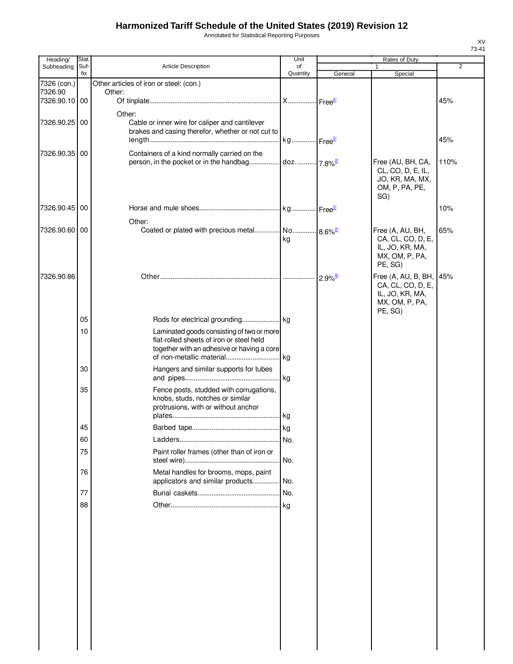Annotated for Statistical Reporting Purposes

| Suf-<br>Article Description<br>Subheading<br>of<br>1<br>Quantity<br>fix<br>General<br>Special<br>7326 (con.)<br>Other articles of iron or steel: (con.)<br>7326.90<br>Other:<br>7326.90.10 00<br>45%<br>Other:<br>7326.90.25 00<br>Cable or inner wire for caliper and cantilever<br>brakes and casing therefor, whether or not cut to<br>kg Free <sup>2/</sup><br>45%<br>Containers of a kind normally carried on the<br>7326.90.35 00<br>Free (AU, BH, CA,<br>110%<br>CL, CO, D, E, IL,<br>JO, KR, MA, MX,<br>OM, P, PA, PE,<br>SG)<br>7326.90.45 00<br>10%<br>Other:<br>7326.90.60 00<br>Coated or plated with precious metal No 8.6% <sup>2</sup><br>Free (A, AU, BH,<br>65%<br>CA, CL, CO, D, E,<br>kg<br>IL, JO, KR, MA,<br>MX, OM, P, PA,<br>PE, SG)<br>7326.90.86<br>Free (A, AU, B, BH,<br>45%<br>CA, CL, CO, D, E,<br>IL, JO, KR, MA,<br>MX, OM, P, PA,<br>PE, SG)<br>05<br>10<br>Laminated goods consisting of two or more<br>flat-rolled sheets of iron or steel held<br>together with an adhesive or having a core<br>30<br>Hangers and similar supports for tubes<br>. kg<br>35<br>Fence posts, studded with corrugations, | 2 |
|------------------------------------------------------------------------------------------------------------------------------------------------------------------------------------------------------------------------------------------------------------------------------------------------------------------------------------------------------------------------------------------------------------------------------------------------------------------------------------------------------------------------------------------------------------------------------------------------------------------------------------------------------------------------------------------------------------------------------------------------------------------------------------------------------------------------------------------------------------------------------------------------------------------------------------------------------------------------------------------------------------------------------------------------------------------------------------------------------------------------------------------|---|
|                                                                                                                                                                                                                                                                                                                                                                                                                                                                                                                                                                                                                                                                                                                                                                                                                                                                                                                                                                                                                                                                                                                                          |   |
|                                                                                                                                                                                                                                                                                                                                                                                                                                                                                                                                                                                                                                                                                                                                                                                                                                                                                                                                                                                                                                                                                                                                          |   |
|                                                                                                                                                                                                                                                                                                                                                                                                                                                                                                                                                                                                                                                                                                                                                                                                                                                                                                                                                                                                                                                                                                                                          |   |
|                                                                                                                                                                                                                                                                                                                                                                                                                                                                                                                                                                                                                                                                                                                                                                                                                                                                                                                                                                                                                                                                                                                                          |   |
|                                                                                                                                                                                                                                                                                                                                                                                                                                                                                                                                                                                                                                                                                                                                                                                                                                                                                                                                                                                                                                                                                                                                          |   |
|                                                                                                                                                                                                                                                                                                                                                                                                                                                                                                                                                                                                                                                                                                                                                                                                                                                                                                                                                                                                                                                                                                                                          |   |
|                                                                                                                                                                                                                                                                                                                                                                                                                                                                                                                                                                                                                                                                                                                                                                                                                                                                                                                                                                                                                                                                                                                                          |   |
|                                                                                                                                                                                                                                                                                                                                                                                                                                                                                                                                                                                                                                                                                                                                                                                                                                                                                                                                                                                                                                                                                                                                          |   |
|                                                                                                                                                                                                                                                                                                                                                                                                                                                                                                                                                                                                                                                                                                                                                                                                                                                                                                                                                                                                                                                                                                                                          |   |
|                                                                                                                                                                                                                                                                                                                                                                                                                                                                                                                                                                                                                                                                                                                                                                                                                                                                                                                                                                                                                                                                                                                                          |   |
|                                                                                                                                                                                                                                                                                                                                                                                                                                                                                                                                                                                                                                                                                                                                                                                                                                                                                                                                                                                                                                                                                                                                          |   |
|                                                                                                                                                                                                                                                                                                                                                                                                                                                                                                                                                                                                                                                                                                                                                                                                                                                                                                                                                                                                                                                                                                                                          |   |
|                                                                                                                                                                                                                                                                                                                                                                                                                                                                                                                                                                                                                                                                                                                                                                                                                                                                                                                                                                                                                                                                                                                                          |   |
|                                                                                                                                                                                                                                                                                                                                                                                                                                                                                                                                                                                                                                                                                                                                                                                                                                                                                                                                                                                                                                                                                                                                          |   |
|                                                                                                                                                                                                                                                                                                                                                                                                                                                                                                                                                                                                                                                                                                                                                                                                                                                                                                                                                                                                                                                                                                                                          |   |
|                                                                                                                                                                                                                                                                                                                                                                                                                                                                                                                                                                                                                                                                                                                                                                                                                                                                                                                                                                                                                                                                                                                                          |   |
|                                                                                                                                                                                                                                                                                                                                                                                                                                                                                                                                                                                                                                                                                                                                                                                                                                                                                                                                                                                                                                                                                                                                          |   |
|                                                                                                                                                                                                                                                                                                                                                                                                                                                                                                                                                                                                                                                                                                                                                                                                                                                                                                                                                                                                                                                                                                                                          |   |
|                                                                                                                                                                                                                                                                                                                                                                                                                                                                                                                                                                                                                                                                                                                                                                                                                                                                                                                                                                                                                                                                                                                                          |   |
|                                                                                                                                                                                                                                                                                                                                                                                                                                                                                                                                                                                                                                                                                                                                                                                                                                                                                                                                                                                                                                                                                                                                          |   |
| knobs, studs, notches or similar<br>protrusions, with or without anchor                                                                                                                                                                                                                                                                                                                                                                                                                                                                                                                                                                                                                                                                                                                                                                                                                                                                                                                                                                                                                                                                  |   |
| 45                                                                                                                                                                                                                                                                                                                                                                                                                                                                                                                                                                                                                                                                                                                                                                                                                                                                                                                                                                                                                                                                                                                                       |   |
| No.<br>60                                                                                                                                                                                                                                                                                                                                                                                                                                                                                                                                                                                                                                                                                                                                                                                                                                                                                                                                                                                                                                                                                                                                |   |
| Paint roller frames (other than of iron or<br>75                                                                                                                                                                                                                                                                                                                                                                                                                                                                                                                                                                                                                                                                                                                                                                                                                                                                                                                                                                                                                                                                                         |   |
| . No.                                                                                                                                                                                                                                                                                                                                                                                                                                                                                                                                                                                                                                                                                                                                                                                                                                                                                                                                                                                                                                                                                                                                    |   |
| Metal handles for brooms, mops, paint<br>76<br>applicators and similar products No.                                                                                                                                                                                                                                                                                                                                                                                                                                                                                                                                                                                                                                                                                                                                                                                                                                                                                                                                                                                                                                                      |   |
| 77                                                                                                                                                                                                                                                                                                                                                                                                                                                                                                                                                                                                                                                                                                                                                                                                                                                                                                                                                                                                                                                                                                                                       |   |
| 88                                                                                                                                                                                                                                                                                                                                                                                                                                                                                                                                                                                                                                                                                                                                                                                                                                                                                                                                                                                                                                                                                                                                       |   |
|                                                                                                                                                                                                                                                                                                                                                                                                                                                                                                                                                                                                                                                                                                                                                                                                                                                                                                                                                                                                                                                                                                                                          |   |
|                                                                                                                                                                                                                                                                                                                                                                                                                                                                                                                                                                                                                                                                                                                                                                                                                                                                                                                                                                                                                                                                                                                                          |   |
|                                                                                                                                                                                                                                                                                                                                                                                                                                                                                                                                                                                                                                                                                                                                                                                                                                                                                                                                                                                                                                                                                                                                          |   |
|                                                                                                                                                                                                                                                                                                                                                                                                                                                                                                                                                                                                                                                                                                                                                                                                                                                                                                                                                                                                                                                                                                                                          |   |
|                                                                                                                                                                                                                                                                                                                                                                                                                                                                                                                                                                                                                                                                                                                                                                                                                                                                                                                                                                                                                                                                                                                                          |   |

 $\overline{\phantom{a}}$